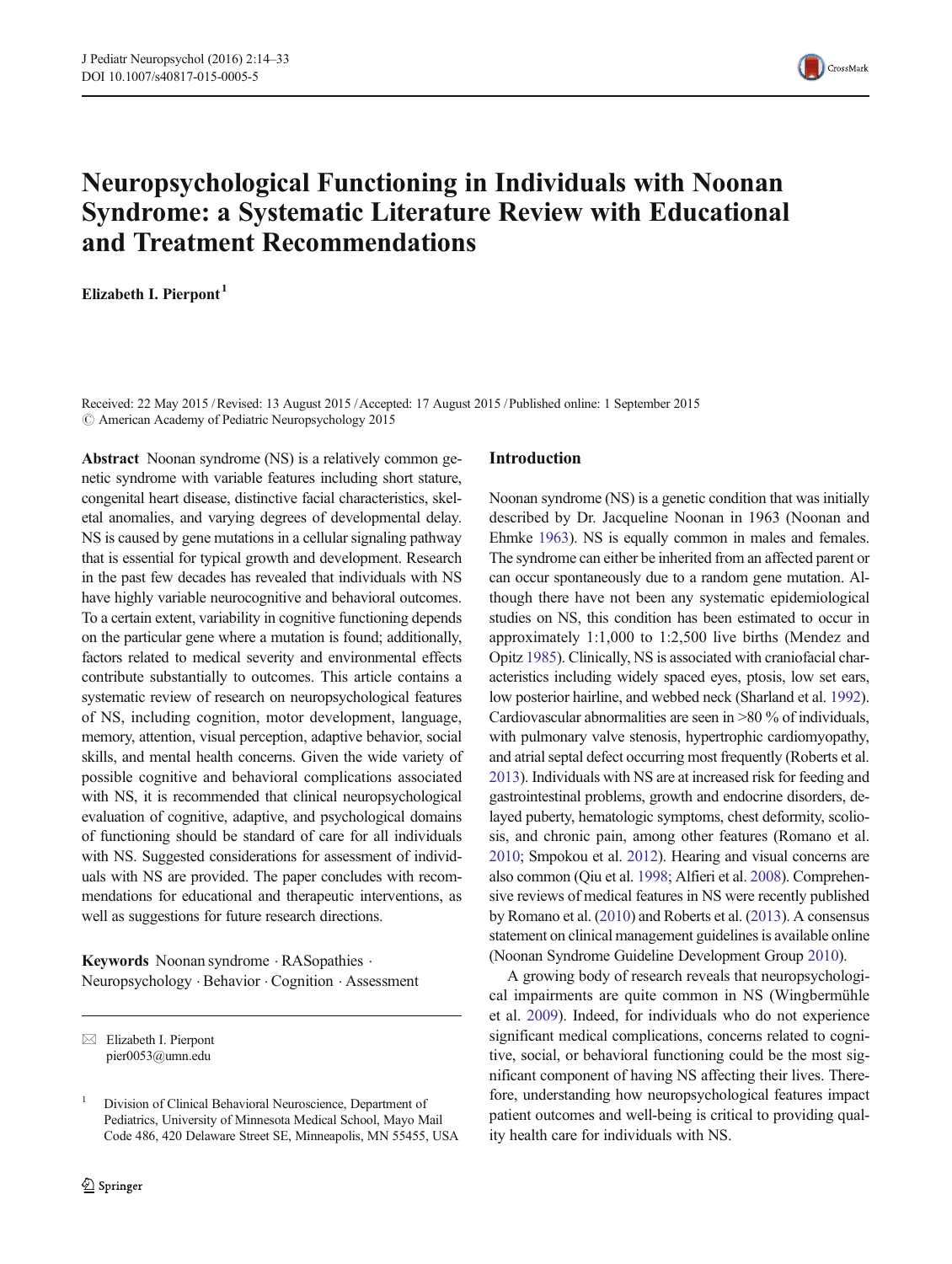

# Neuropsychological Functioning in Individuals with Noonan Syndrome: a Systematic Literature Review with Educational and Treatment Recommendations

Elizabeth I. Pierpont<sup>1</sup>

Received: 22 May 2015 /Revised: 13 August 2015 /Accepted: 17 August 2015 /Published online: 1 September 2015  $\odot$  American Academy of Pediatric Neuropsychology 2015

Abstract Noonan syndrome (NS) is a relatively common genetic syndrome with variable features including short stature, congenital heart disease, distinctive facial characteristics, skeletal anomalies, and varying degrees of developmental delay. NS is caused by gene mutations in a cellular signaling pathway that is essential for typical growth and development. Research in the past few decades has revealed that individuals with NS have highly variable neurocognitive and behavioral outcomes. To a certain extent, variability in cognitive functioning depends on the particular gene where a mutation is found; additionally, factors related to medical severity and environmental effects contribute substantially to outcomes. This article contains a systematic review of research on neuropsychological features of NS, including cognition, motor development, language, memory, attention, visual perception, adaptive behavior, social skills, and mental health concerns. Given the wide variety of possible cognitive and behavioral complications associated with NS, it is recommended that clinical neuropsychological evaluation of cognitive, adaptive, and psychological domains of functioning should be standard of care for all individuals with NS. Suggested considerations for assessment of individuals with NS are provided. The paper concludes with recommendations for educational and therapeutic interventions, as well as suggestions for future research directions.

Keywords Noonan syndrome · RASopathies · Neuropsychology . Behavior . Cognition . Assessment

 $\boxtimes$  Elizabeth I. Pierpont pier0053@umn.edu

#### Introduction

Noonan syndrome (NS) is a genetic condition that was initially described by Dr. Jacqueline Noonan in 1963 (Noonan and Ehmke [1963](#page-17-0)). NS is equally common in males and females. The syndrome can either be inherited from an affected parent or can occur spontaneously due to a random gene mutation. Although there have not been any systematic epidemiological studies on NS, this condition has been estimated to occur in approximately 1:1,000 to 1:2,500 live births (Mendez and Opitz [1985](#page-17-0)). Clinically, NS is associated with craniofacial characteristics including widely spaced eyes, ptosis, low set ears, low posterior hairline, and webbed neck (Sharland et al. [1992\)](#page-18-0). Cardiovascular abnormalities are seen in >80 % of individuals, with pulmonary valve stenosis, hypertrophic cardiomyopathy, and atrial septal defect occurring most frequently (Roberts et al. [2013](#page-18-0)). Individuals with NS are at increased risk for feeding and gastrointestinal problems, growth and endocrine disorders, delayed puberty, hematologic symptoms, chest deformity, scoliosis, and chronic pain, among other features (Romano et al. [2010](#page-18-0); Smpokou et al. [2012\)](#page-18-0). Hearing and visual concerns are also common (Qiu et al. [1998;](#page-18-0) Alfieri et al. [2008\)](#page-16-0). Comprehensive reviews of medical features in NS were recently published by Romano et al. [\(2010\)](#page-18-0) and Roberts et al. ([2013](#page-18-0)). A consensus statement on clinical management guidelines is available online (Noonan Syndrome Guideline Development Group [2010\)](#page-17-0).

A growing body of research reveals that neuropsychological impairments are quite common in NS (Wingbermühle et al. [2009](#page-19-0)). Indeed, for individuals who do not experience significant medical complications, concerns related to cognitive, social, or behavioral functioning could be the most significant component of having NS affecting their lives. Therefore, understanding how neuropsychological features impact patient outcomes and well-being is critical to providing quality health care for individuals with NS.

<sup>1</sup> Division of Clinical Behavioral Neuroscience, Department of Pediatrics, University of Minnesota Medical School, Mayo Mail Code 486, 420 Delaware Street SE, Minneapolis, MN 55455, USA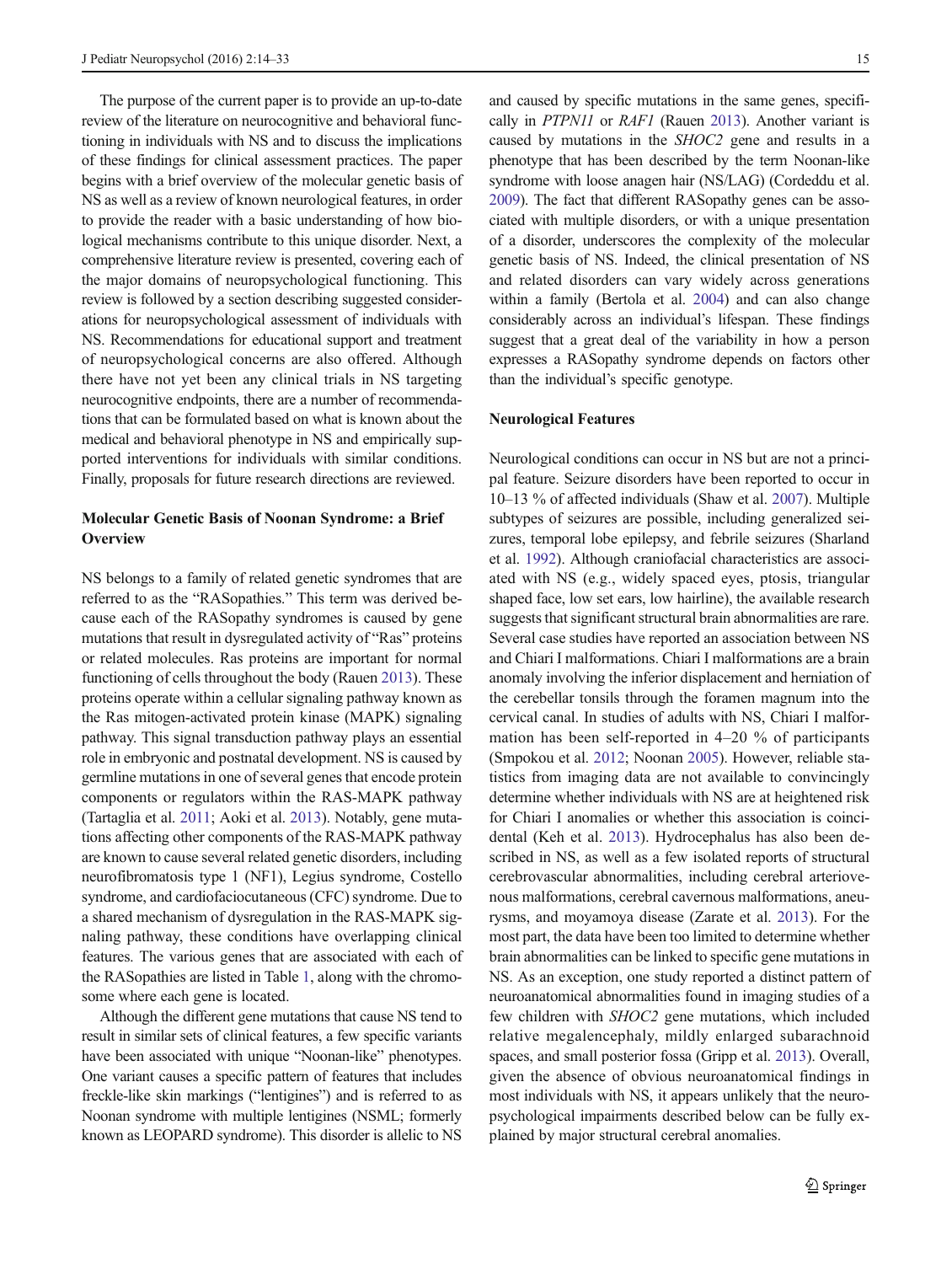The purpose of the current paper is to provide an up-to-date review of the literature on neurocognitive and behavioral functioning in individuals with NS and to discuss the implications of these findings for clinical assessment practices. The paper begins with a brief overview of the molecular genetic basis of NS as well as a review of known neurological features, in order to provide the reader with a basic understanding of how biological mechanisms contribute to this unique disorder. Next, a comprehensive literature review is presented, covering each of the major domains of neuropsychological functioning. This review is followed by a section describing suggested considerations for neuropsychological assessment of individuals with NS. Recommendations for educational support and treatment of neuropsychological concerns are also offered. Although there have not yet been any clinical trials in NS targeting neurocognitive endpoints, there are a number of recommendations that can be formulated based on what is known about the medical and behavioral phenotype in NS and empirically supported interventions for individuals with similar conditions. Finally, proposals for future research directions are reviewed.

## Molecular Genetic Basis of Noonan Syndrome: a Brief **Overview**

NS belongs to a family of related genetic syndromes that are referred to as the "RASopathies." This term was derived because each of the RASopathy syndromes is caused by gene mutations that result in dysregulated activity of "Ras" proteins or related molecules. Ras proteins are important for normal functioning of cells throughout the body (Rauen [2013](#page-18-0)). These proteins operate within a cellular signaling pathway known as the Ras mitogen-activated protein kinase (MAPK) signaling pathway. This signal transduction pathway plays an essential role in embryonic and postnatal development. NS is caused by germline mutations in one of several genes that encode protein components or regulators within the RAS-MAPK pathway (Tartaglia et al. [2011](#page-19-0); Aoki et al. [2013](#page-16-0)). Notably, gene mutations affecting other components of the RAS-MAPK pathway are known to cause several related genetic disorders, including neurofibromatosis type 1 (NF1), Legius syndrome, Costello syndrome, and cardiofaciocutaneous (CFC) syndrome. Due to a shared mechanism of dysregulation in the RAS-MAPK signaling pathway, these conditions have overlapping clinical features. The various genes that are associated with each of the RASopathies are listed in Table [1](#page-2-0), along with the chromosome where each gene is located.

Although the different gene mutations that cause NS tend to result in similar sets of clinical features, a few specific variants have been associated with unique "Noonan-like" phenotypes. One variant causes a specific pattern of features that includes freckle-like skin markings ("lentigines") and is referred to as Noonan syndrome with multiple lentigines (NSML; formerly known as LEOPARD syndrome). This disorder is allelic to NS

and caused by specific mutations in the same genes, specifi-cally in PTPN11 or RAF1 (Rauen [2013\)](#page-18-0). Another variant is caused by mutations in the SHOC2 gene and results in a phenotype that has been described by the term Noonan-like syndrome with loose anagen hair (NS/LAG) (Cordeddu et al. [2009](#page-16-0)). The fact that different RASopathy genes can be associated with multiple disorders, or with a unique presentation of a disorder, underscores the complexity of the molecular genetic basis of NS. Indeed, the clinical presentation of NS and related disorders can vary widely across generations within a family (Bertola et al. [2004](#page-16-0)) and can also change considerably across an individual's lifespan. These findings suggest that a great deal of the variability in how a person expresses a RASopathy syndrome depends on factors other than the individual's specific genotype.

## Neurological Features

Neurological conditions can occur in NS but are not a principal feature. Seizure disorders have been reported to occur in 10–13 % of affected individuals (Shaw et al. [2007\)](#page-18-0). Multiple subtypes of seizures are possible, including generalized seizures, temporal lobe epilepsy, and febrile seizures (Sharland et al. [1992](#page-18-0)). Although craniofacial characteristics are associated with NS (e.g., widely spaced eyes, ptosis, triangular shaped face, low set ears, low hairline), the available research suggests that significant structural brain abnormalities are rare. Several case studies have reported an association between NS and Chiari I malformations. Chiari I malformations are a brain anomaly involving the inferior displacement and herniation of the cerebellar tonsils through the foramen magnum into the cervical canal. In studies of adults with NS, Chiari I malformation has been self-reported in 4–20 % of participants (Smpokou et al. [2012](#page-18-0); Noonan [2005\)](#page-17-0). However, reliable statistics from imaging data are not available to convincingly determine whether individuals with NS are at heightened risk for Chiari I anomalies or whether this association is coincidental (Keh et al. [2013\)](#page-17-0). Hydrocephalus has also been described in NS, as well as a few isolated reports of structural cerebrovascular abnormalities, including cerebral arteriovenous malformations, cerebral cavernous malformations, aneurysms, and moyamoya disease (Zarate et al. [2013](#page-19-0)). For the most part, the data have been too limited to determine whether brain abnormalities can be linked to specific gene mutations in NS. As an exception, one study reported a distinct pattern of neuroanatomical abnormalities found in imaging studies of a few children with SHOC2 gene mutations, which included relative megalencephaly, mildly enlarged subarachnoid spaces, and small posterior fossa (Gripp et al. [2013\)](#page-16-0). Overall, given the absence of obvious neuroanatomical findings in most individuals with NS, it appears unlikely that the neuropsychological impairments described below can be fully explained by major structural cerebral anomalies.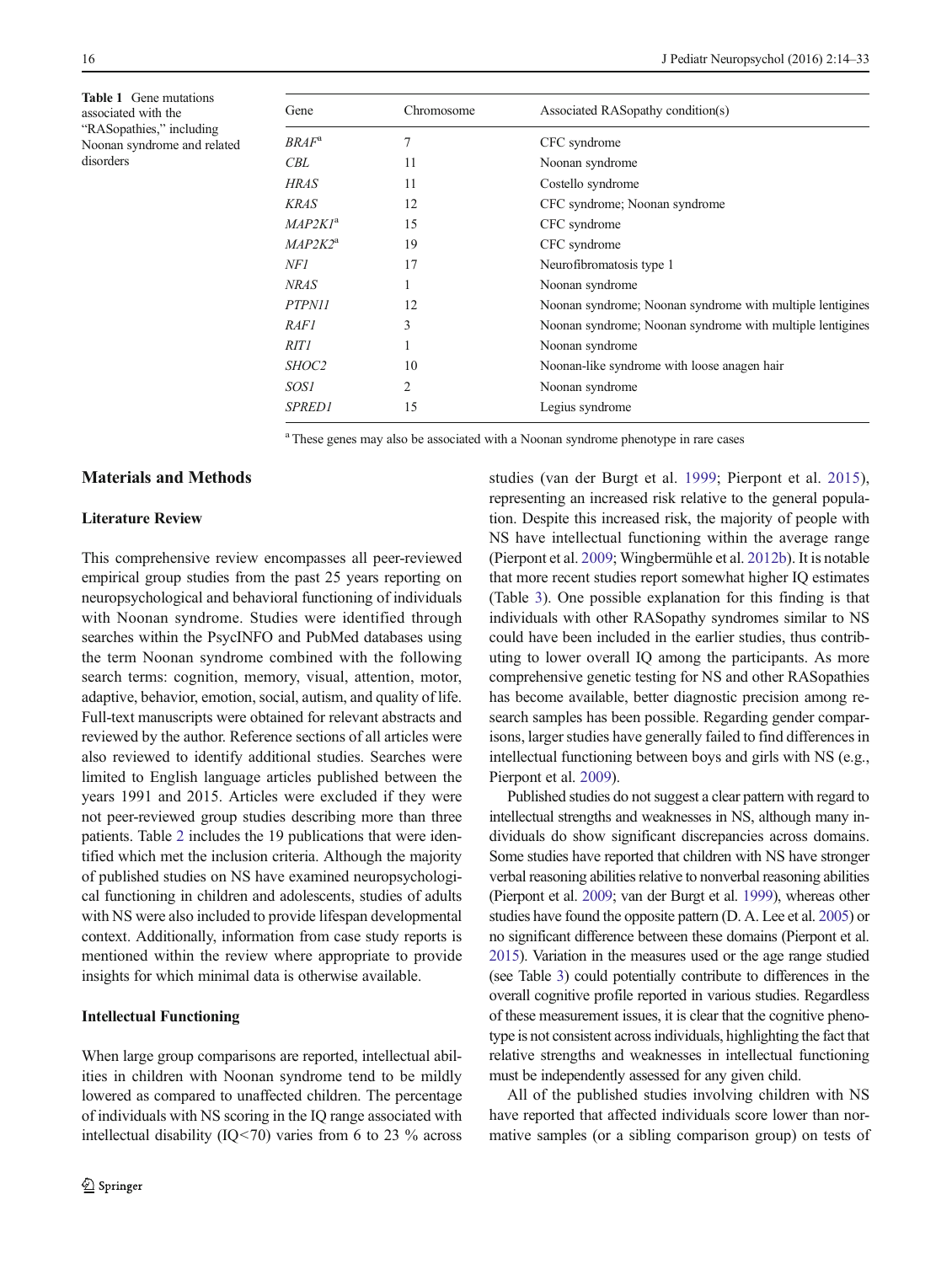<span id="page-2-0"></span>Table 1 Gene mutations associated with the "RASopathies," including Noonan syndrome and related disorders

 $\overline{a}$ 

| Gene                       | Chromosome     | Associated RASopathy condition(s)                         |
|----------------------------|----------------|-----------------------------------------------------------|
| $\mathit{BRAF}^\mathrm{a}$ | 7              | CFC syndrome                                              |
| CBL                        | 11             | Noonan syndrome                                           |
| HRAS                       | 11             | Costello syndrome                                         |
| KRAS                       | 12             | CFC syndrome; Noonan syndrome                             |
| MAP2K1ª                    | 15             | CFC syndrome                                              |
| MAP2K2ª                    | 19             | CFC syndrome                                              |
| NF1                        | 17             | Neurofibromatosis type 1                                  |
| NRAS                       |                | Noonan syndrome                                           |
| PTPN11                     | 12             | Noonan syndrome; Noonan syndrome with multiple lentigines |
| <i>RAF1</i>                | 3              | Noonan syndrome; Noonan syndrome with multiple lentigines |
| RITI                       |                | Noonan syndrome                                           |
| <i>SHOC2</i>               | 10             | Noonan-like syndrome with loose anagen hair               |
| SOS1                       | $\mathfrak{D}$ | Noonan syndrome                                           |
| <i>SPRED1</i>              | 15             | Legius syndrome                                           |
|                            |                |                                                           |

<sup>a</sup> These genes may also be associated with a Noonan syndrome phenotype in rare cases

# Materials and Methods

## Literature Review

This comprehensive review encompasses all peer-reviewed empirical group studies from the past 25 years reporting on neuropsychological and behavioral functioning of individuals with Noonan syndrome. Studies were identified through searches within the PsycINFO and PubMed databases using the term Noonan syndrome combined with the following search terms: cognition, memory, visual, attention, motor, adaptive, behavior, emotion, social, autism, and quality of life. Full-text manuscripts were obtained for relevant abstracts and reviewed by the author. Reference sections of all articles were also reviewed to identify additional studies. Searches were limited to English language articles published between the years 1991 and 2015. Articles were excluded if they were not peer-reviewed group studies describing more than three patients. Table [2](#page-3-0) includes the 19 publications that were identified which met the inclusion criteria. Although the majority of published studies on NS have examined neuropsychological functioning in children and adolescents, studies of adults with NS were also included to provide lifespan developmental context. Additionally, information from case study reports is mentioned within the review where appropriate to provide insights for which minimal data is otherwise available.

#### Intellectual Functioning

When large group comparisons are reported, intellectual abilities in children with Noonan syndrome tend to be mildly lowered as compared to unaffected children. The percentage of individuals with NS scoring in the IQ range associated with intellectual disability  $(IQ < 70)$  varies from 6 to 23 % across studies (van der Burgt et al. [1999;](#page-19-0) Pierpont et al. [2015](#page-18-0)), representing an increased risk relative to the general population. Despite this increased risk, the majority of people with NS have intellectual functioning within the average range (Pierpont et al. [2009](#page-17-0); Wingbermühle et al. [2012b](#page-19-0)). It is notable that more recent studies report somewhat higher IQ estimates (Table [3\)](#page-3-0). One possible explanation for this finding is that individuals with other RASopathy syndromes similar to NS could have been included in the earlier studies, thus contributing to lower overall IQ among the participants. As more comprehensive genetic testing for NS and other RASopathies has become available, better diagnostic precision among research samples has been possible. Regarding gender comparisons, larger studies have generally failed to find differences in intellectual functioning between boys and girls with NS (e.g., Pierpont et al. [2009\)](#page-17-0).

Published studies do not suggest a clear pattern with regard to intellectual strengths and weaknesses in NS, although many individuals do show significant discrepancies across domains. Some studies have reported that children with NS have stronger verbal reasoning abilities relative to nonverbal reasoning abilities (Pierpont et al. [2009](#page-17-0); van der Burgt et al. [1999\)](#page-19-0), whereas other studies have found the opposite pattern (D. A. Lee et al. [2005](#page-17-0)) or no significant difference between these domains (Pierpont et al. [2015](#page-18-0)). Variation in the measures used or the age range studied (see Table [3](#page-3-0)) could potentially contribute to differences in the overall cognitive profile reported in various studies. Regardless of these measurement issues, it is clear that the cognitive phenotype is not consistent across individuals, highlighting the fact that relative strengths and weaknesses in intellectual functioning must be independently assessed for any given child.

All of the published studies involving children with NS have reported that affected individuals score lower than normative samples (or a sibling comparison group) on tests of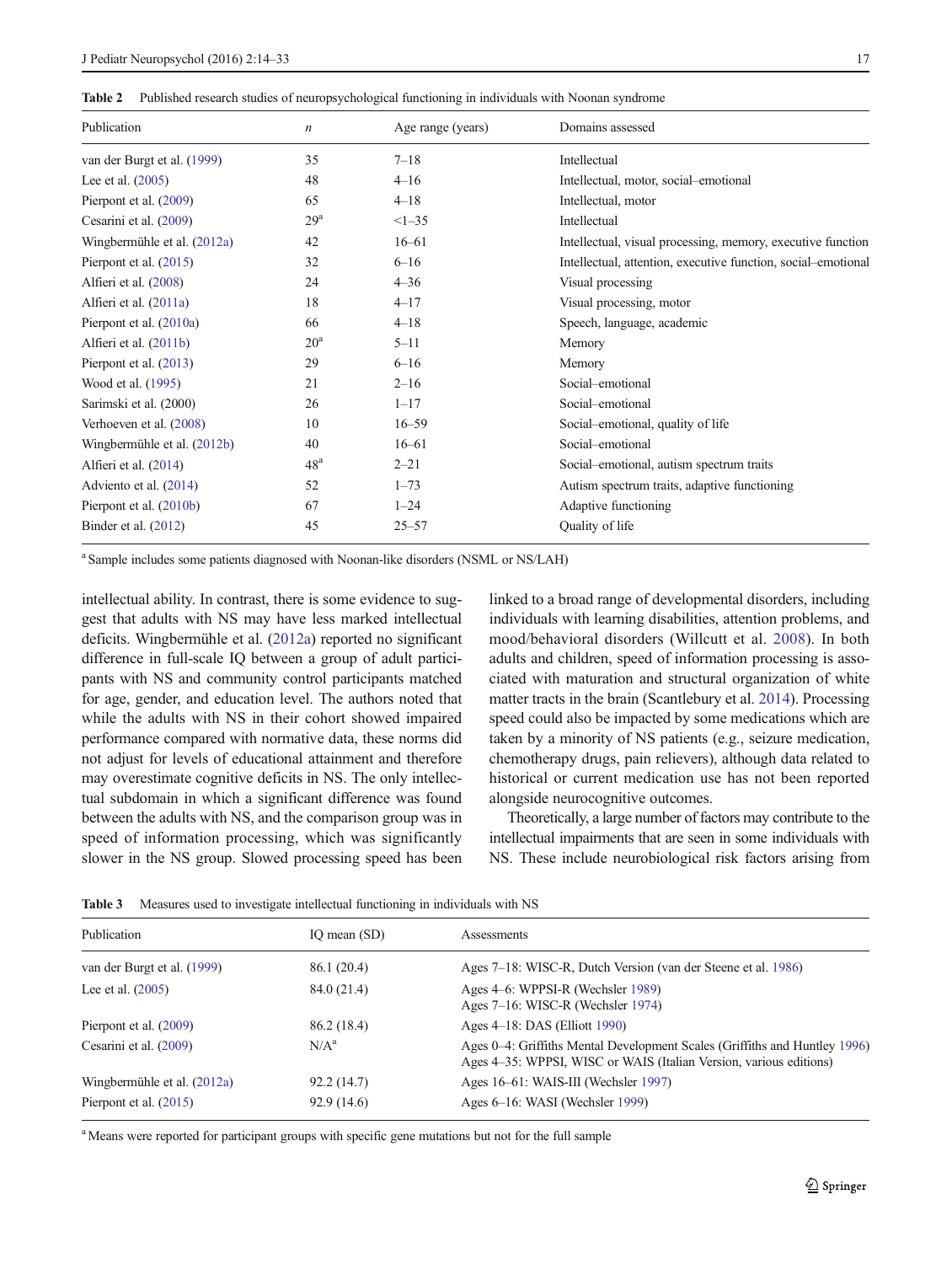<span id="page-3-0"></span>Table 2 Published research studies of neuropsychological functioning in individuals with Noonan syndrome

| Publication                 | $\boldsymbol{n}$ | Age range (years) | Domains assessed                                              |
|-----------------------------|------------------|-------------------|---------------------------------------------------------------|
| van der Burgt et al. (1999) | 35               | $7 - 18$          | Intellectual                                                  |
| Lee et al. $(2005)$         | 48               | $4 - 16$          | Intellectual, motor, social-emotional                         |
| Pierpont et al. (2009)      | 65               | $4 - 18$          | Intellectual, motor                                           |
| Cesarini et al. (2009)      | 29 <sup>a</sup>  | $<1 - 35$         | Intellectual                                                  |
| Wingbermühle et al. (2012a) | 42               | $16 - 61$         | Intellectual, visual processing, memory, executive function   |
| Pierpont et al. (2015)      | 32               | $6 - 16$          | Intellectual, attention, executive function, social-emotional |
| Alfieri et al. (2008)       | 24               | $4 - 36$          | Visual processing                                             |
| Alfieri et al. (2011a)      | 18               | $4 - 17$          | Visual processing, motor                                      |
| Pierpont et al. (2010a)     | 66               | $4 - 18$          | Speech, language, academic                                    |
| Alfieri et al. (2011b)      | 20 <sup>a</sup>  | $5 - 11$          | Memory                                                        |
| Pierpont et al. (2013)      | 29               | $6 - 16$          | Memory                                                        |
| Wood et al. (1995)          | 21               | $2 - 16$          | Social-emotional                                              |
| Sarimski et al. (2000)      | 26               | $1 - 17$          | Social-emotional                                              |
| Verhoeven et al. (2008)     | 10               | $16 - 59$         | Social-emotional, quality of life                             |
| Wingbermühle et al. (2012b) | 40               | $16 - 61$         | Social-emotional                                              |
| Alfieri et al. (2014)       | 48 <sup>a</sup>  | $2 - 21$          | Social-emotional, autism spectrum traits                      |
| Adviento et al. (2014)      | 52               | $1 - 73$          | Autism spectrum traits, adaptive functioning                  |
| Pierpont et al. (2010b)     | 67               | $1 - 24$          | Adaptive functioning                                          |
| Binder et al. $(2012)$      | 45               | $25 - 57$         | Quality of life                                               |

<sup>a</sup> Sample includes some patients diagnosed with Noonan-like disorders (NSML or NS/LAH)

intellectual ability. In contrast, there is some evidence to suggest that adults with NS may have less marked intellectual deficits. Wingbermühle et al. ([2012a\)](#page-19-0) reported no significant difference in full-scale IQ between a group of adult participants with NS and community control participants matched for age, gender, and education level. The authors noted that while the adults with NS in their cohort showed impaired performance compared with normative data, these norms did not adjust for levels of educational attainment and therefore may overestimate cognitive deficits in NS. The only intellectual subdomain in which a significant difference was found between the adults with NS, and the comparison group was in speed of information processing, which was significantly slower in the NS group. Slowed processing speed has been linked to a broad range of developmental disorders, including individuals with learning disabilities, attention problems, and mood/behavioral disorders (Willcutt et al. [2008](#page-19-0)). In both adults and children, speed of information processing is associated with maturation and structural organization of white matter tracts in the brain (Scantlebury et al. [2014](#page-18-0)). Processing speed could also be impacted by some medications which are taken by a minority of NS patients (e.g., seizure medication, chemotherapy drugs, pain relievers), although data related to historical or current medication use has not been reported alongside neurocognitive outcomes.

Theoretically, a large number of factors may contribute to the intellectual impairments that are seen in some individuals with NS. These include neurobiological risk factors arising from

| Table 3 |  | Measures used to investigate intellectual functioning in individuals with NS |  |
|---------|--|------------------------------------------------------------------------------|--|
|         |  |                                                                              |  |

| Publication                 | IQ mean (SD)     | Assessments                                                                                                                                      |
|-----------------------------|------------------|--------------------------------------------------------------------------------------------------------------------------------------------------|
| van der Burgt et al. (1999) | 86.1 (20.4)      | Ages 7–18: WISC-R, Dutch Version (van der Steene et al. 1986)                                                                                    |
| Lee et al. $(2005)$         | 84.0 (21.4)      | Ages 4–6: WPPSI-R (Wechsler 1989)<br>Ages $7-16$ : WISC-R (Wechsler 1974)                                                                        |
| Pierpont et al. (2009)      | 86.2 (18.4)      | Ages $4-18$ : DAS (Elliott 1990)                                                                                                                 |
| Cesarini et al. (2009)      | N/A <sup>a</sup> | Ages 0–4: Griffiths Mental Development Scales (Griffiths and Huntley 1996)<br>Ages 4–35: WPPSI, WISC or WAIS (Italian Version, various editions) |
| Wingbermühle et al. (2012a) | 92.2(14.7)       | Ages 16–61: WAIS-III (Wechsler 1997)                                                                                                             |
| Pierpont et al. $(2015)$    | 92.9(14.6)       | Ages 6–16: WASI (Wechsler 1999)                                                                                                                  |

<sup>a</sup> Means were reported for participant groups with specific gene mutations but not for the full sample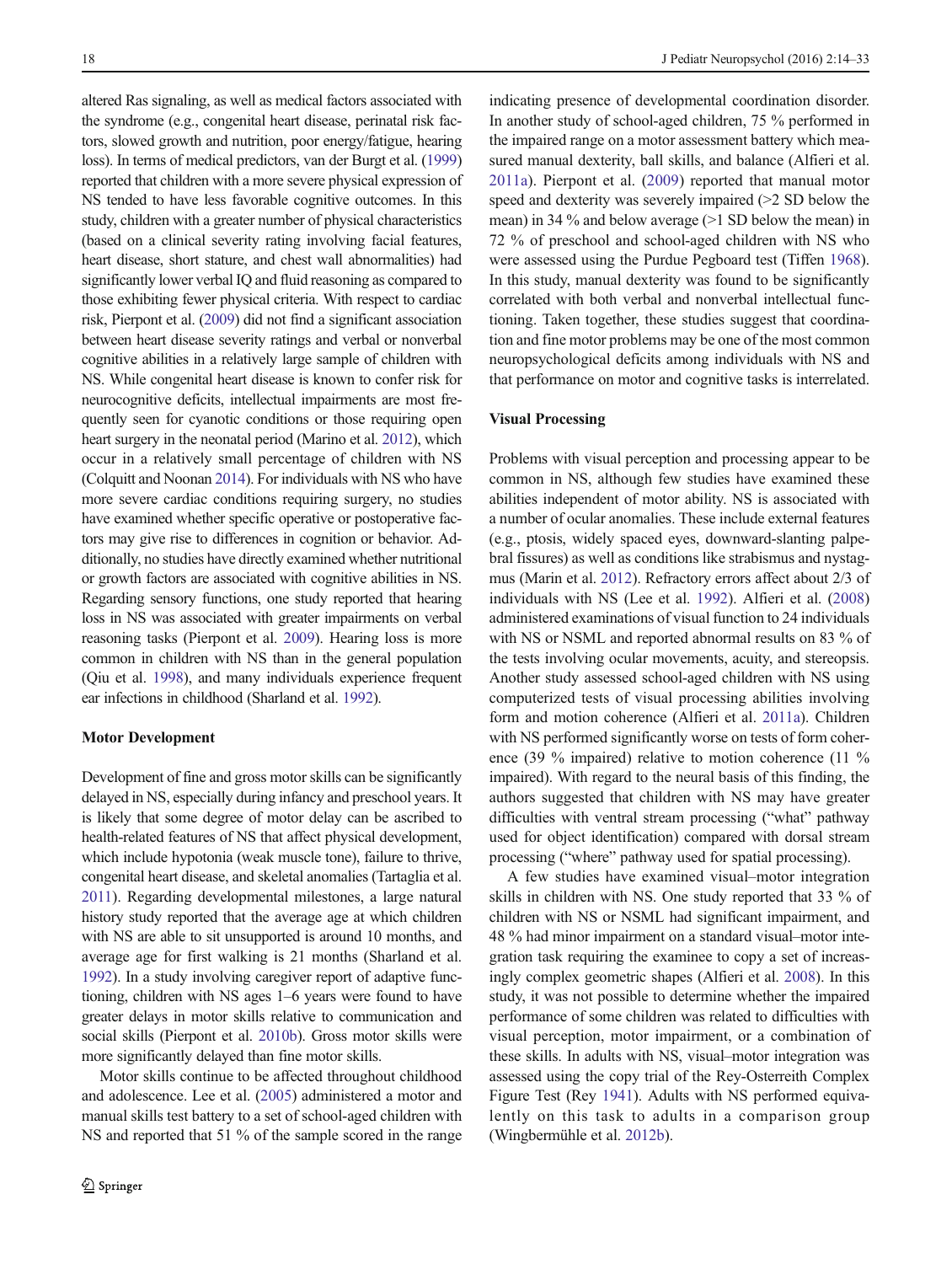altered Ras signaling, as well as medical factors associated with the syndrome (e.g., congenital heart disease, perinatal risk factors, slowed growth and nutrition, poor energy/fatigue, hearing loss). In terms of medical predictors, van der Burgt et al. [\(1999\)](#page-19-0) reported that children with a more severe physical expression of NS tended to have less favorable cognitive outcomes. In this study, children with a greater number of physical characteristics (based on a clinical severity rating involving facial features, heart disease, short stature, and chest wall abnormalities) had significantly lower verbal IQ and fluid reasoning as compared to those exhibiting fewer physical criteria. With respect to cardiac risk, Pierpont et al. ([2009\)](#page-17-0) did not find a significant association between heart disease severity ratings and verbal or nonverbal cognitive abilities in a relatively large sample of children with NS. While congenital heart disease is known to confer risk for neurocognitive deficits, intellectual impairments are most frequently seen for cyanotic conditions or those requiring open heart surgery in the neonatal period (Marino et al. [2012](#page-17-0)), which occur in a relatively small percentage of children with NS (Colquitt and Noonan [2014\)](#page-16-0). For individuals with NS who have more severe cardiac conditions requiring surgery, no studies have examined whether specific operative or postoperative factors may give rise to differences in cognition or behavior. Additionally, no studies have directly examined whether nutritional or growth factors are associated with cognitive abilities in NS. Regarding sensory functions, one study reported that hearing loss in NS was associated with greater impairments on verbal reasoning tasks (Pierpont et al. [2009\)](#page-17-0). Hearing loss is more common in children with NS than in the general population (Qiu et al. [1998\)](#page-18-0), and many individuals experience frequent ear infections in childhood (Sharland et al. [1992](#page-18-0)).

#### Motor Development

Development of fine and gross motor skills can be significantly delayed in NS, especially during infancy and preschool years. It is likely that some degree of motor delay can be ascribed to health-related features of NS that affect physical development, which include hypotonia (weak muscle tone), failure to thrive, congenital heart disease, and skeletal anomalies (Tartaglia et al. [2011](#page-19-0)). Regarding developmental milestones, a large natural history study reported that the average age at which children with NS are able to sit unsupported is around 10 months, and average age for first walking is 21 months (Sharland et al. [1992](#page-18-0)). In a study involving caregiver report of adaptive functioning, children with NS ages 1–6 years were found to have greater delays in motor skills relative to communication and social skills (Pierpont et al. [2010b\)](#page-18-0). Gross motor skills were more significantly delayed than fine motor skills.

Motor skills continue to be affected throughout childhood and adolescence. Lee et al. [\(2005\)](#page-17-0) administered a motor and manual skills test battery to a set of school-aged children with NS and reported that 51 % of the sample scored in the range

indicating presence of developmental coordination disorder. In another study of school-aged children, 75 % performed in the impaired range on a motor assessment battery which measured manual dexterity, ball skills, and balance (Alfieri et al. [2011a](#page-16-0)). Pierpont et al. ([2009\)](#page-17-0) reported that manual motor speed and dexterity was severely impaired (>2 SD below the mean) in 34 % and below average (>1 SD below the mean) in 72 % of preschool and school-aged children with NS who were assessed using the Purdue Pegboard test (Tiffen [1968\)](#page-19-0). In this study, manual dexterity was found to be significantly correlated with both verbal and nonverbal intellectual functioning. Taken together, these studies suggest that coordination and fine motor problems may be one of the most common neuropsychological deficits among individuals with NS and that performance on motor and cognitive tasks is interrelated.

## Visual Processing

Problems with visual perception and processing appear to be common in NS, although few studies have examined these abilities independent of motor ability. NS is associated with a number of ocular anomalies. These include external features (e.g., ptosis, widely spaced eyes, downward-slanting palpebral fissures) as well as conditions like strabismus and nystagmus (Marin et al. [2012\)](#page-17-0). Refractory errors affect about 2/3 of individuals with NS (Lee et al. [1992\)](#page-17-0). Alfieri et al. [\(2008](#page-16-0)) administered examinations of visual function to 24 individuals with NS or NSML and reported abnormal results on 83 % of the tests involving ocular movements, acuity, and stereopsis. Another study assessed school-aged children with NS using computerized tests of visual processing abilities involving form and motion coherence (Alfieri et al. [2011a\)](#page-16-0). Children with NS performed significantly worse on tests of form coherence (39 % impaired) relative to motion coherence (11 % impaired). With regard to the neural basis of this finding, the authors suggested that children with NS may have greater difficulties with ventral stream processing ("what" pathway used for object identification) compared with dorsal stream processing ("where" pathway used for spatial processing).

A few studies have examined visual–motor integration skills in children with NS. One study reported that 33 % of children with NS or NSML had significant impairment, and 48 % had minor impairment on a standard visual–motor integration task requiring the examinee to copy a set of increasingly complex geometric shapes (Alfieri et al. [2008](#page-16-0)). In this study, it was not possible to determine whether the impaired performance of some children was related to difficulties with visual perception, motor impairment, or a combination of these skills. In adults with NS, visual–motor integration was assessed using the copy trial of the Rey-Osterreith Complex Figure Test (Rey [1941](#page-18-0)). Adults with NS performed equivalently on this task to adults in a comparison group (Wingbermühle et al. [2012b\)](#page-19-0).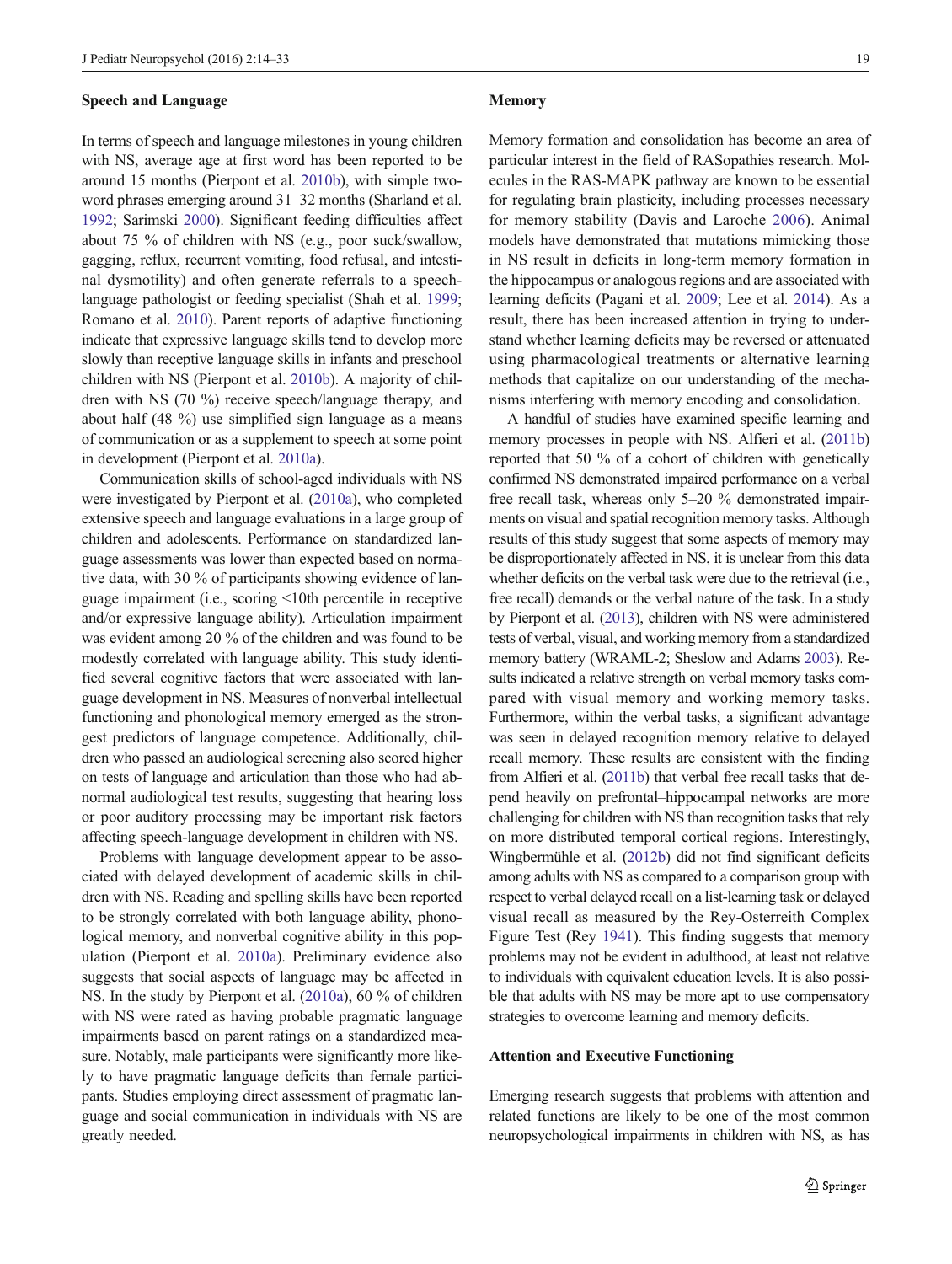#### Speech and Language

In terms of speech and language milestones in young children with NS, average age at first word has been reported to be around 15 months (Pierpont et al. [2010b\)](#page-18-0), with simple twoword phrases emerging around 31–32 months (Sharland et al. [1992;](#page-18-0) Sarimski [2000\)](#page-18-0). Significant feeding difficulties affect about 75 % of children with NS (e.g., poor suck/swallow, gagging, reflux, recurrent vomiting, food refusal, and intestinal dysmotility) and often generate referrals to a speechlanguage pathologist or feeding specialist (Shah et al. [1999](#page-18-0); Romano et al. [2010](#page-18-0)). Parent reports of adaptive functioning indicate that expressive language skills tend to develop more slowly than receptive language skills in infants and preschool children with NS (Pierpont et al. [2010b](#page-18-0)). A majority of children with NS (70 %) receive speech/language therapy, and about half (48 %) use simplified sign language as a means of communication or as a supplement to speech at some point in development (Pierpont et al. [2010a\)](#page-17-0).

Communication skills of school-aged individuals with NS were investigated by Pierpont et al. [\(2010a](#page-17-0)), who completed extensive speech and language evaluations in a large group of children and adolescents. Performance on standardized language assessments was lower than expected based on normative data, with 30 % of participants showing evidence of language impairment (i.e., scoring <10th percentile in receptive and/or expressive language ability). Articulation impairment was evident among 20 % of the children and was found to be modestly correlated with language ability. This study identified several cognitive factors that were associated with language development in NS. Measures of nonverbal intellectual functioning and phonological memory emerged as the strongest predictors of language competence. Additionally, children who passed an audiological screening also scored higher on tests of language and articulation than those who had abnormal audiological test results, suggesting that hearing loss or poor auditory processing may be important risk factors affecting speech-language development in children with NS.

Problems with language development appear to be associated with delayed development of academic skills in children with NS. Reading and spelling skills have been reported to be strongly correlated with both language ability, phonological memory, and nonverbal cognitive ability in this population (Pierpont et al. [2010a](#page-17-0)). Preliminary evidence also suggests that social aspects of language may be affected in NS. In the study by Pierpont et al. [\(2010a\)](#page-17-0), 60 % of children with NS were rated as having probable pragmatic language impairments based on parent ratings on a standardized measure. Notably, male participants were significantly more likely to have pragmatic language deficits than female participants. Studies employing direct assessment of pragmatic language and social communication in individuals with NS are greatly needed.

#### Memory

Memory formation and consolidation has become an area of particular interest in the field of RASopathies research. Molecules in the RAS-MAPK pathway are known to be essential for regulating brain plasticity, including processes necessary for memory stability (Davis and Laroche [2006](#page-16-0)). Animal models have demonstrated that mutations mimicking those in NS result in deficits in long-term memory formation in the hippocampus or analogous regions and are associated with learning deficits (Pagani et al. [2009](#page-17-0); Lee et al. [2014](#page-17-0)). As a result, there has been increased attention in trying to understand whether learning deficits may be reversed or attenuated using pharmacological treatments or alternative learning methods that capitalize on our understanding of the mechanisms interfering with memory encoding and consolidation.

A handful of studies have examined specific learning and memory processes in people with NS. Alfieri et al. [\(2011b](#page-16-0)) reported that 50 % of a cohort of children with genetically confirmed NS demonstrated impaired performance on a verbal free recall task, whereas only 5–20 % demonstrated impairments on visual and spatial recognition memory tasks. Although results of this study suggest that some aspects of memory may be disproportionately affected in NS, it is unclear from this data whether deficits on the verbal task were due to the retrieval (i.e., free recall) demands or the verbal nature of the task. In a study by Pierpont et al. [\(2013](#page-18-0)), children with NS were administered tests of verbal, visual, and working memory from a standardized memory battery (WRAML-2; Sheslow and Adams [2003](#page-18-0)). Results indicated a relative strength on verbal memory tasks compared with visual memory and working memory tasks. Furthermore, within the verbal tasks, a significant advantage was seen in delayed recognition memory relative to delayed recall memory. These results are consistent with the finding from Alfieri et al. ([2011b](#page-16-0)) that verbal free recall tasks that depend heavily on prefrontal–hippocampal networks are more challenging for children with NS than recognition tasks that rely on more distributed temporal cortical regions. Interestingly, Wingbermühle et al. ([2012b\)](#page-19-0) did not find significant deficits among adults with NS as compared to a comparison group with respect to verbal delayed recall on a list-learning task or delayed visual recall as measured by the Rey-Osterreith Complex Figure Test (Rey [1941](#page-18-0)). This finding suggests that memory problems may not be evident in adulthood, at least not relative to individuals with equivalent education levels. It is also possible that adults with NS may be more apt to use compensatory strategies to overcome learning and memory deficits.

#### Attention and Executive Functioning

Emerging research suggests that problems with attention and related functions are likely to be one of the most common neuropsychological impairments in children with NS, as has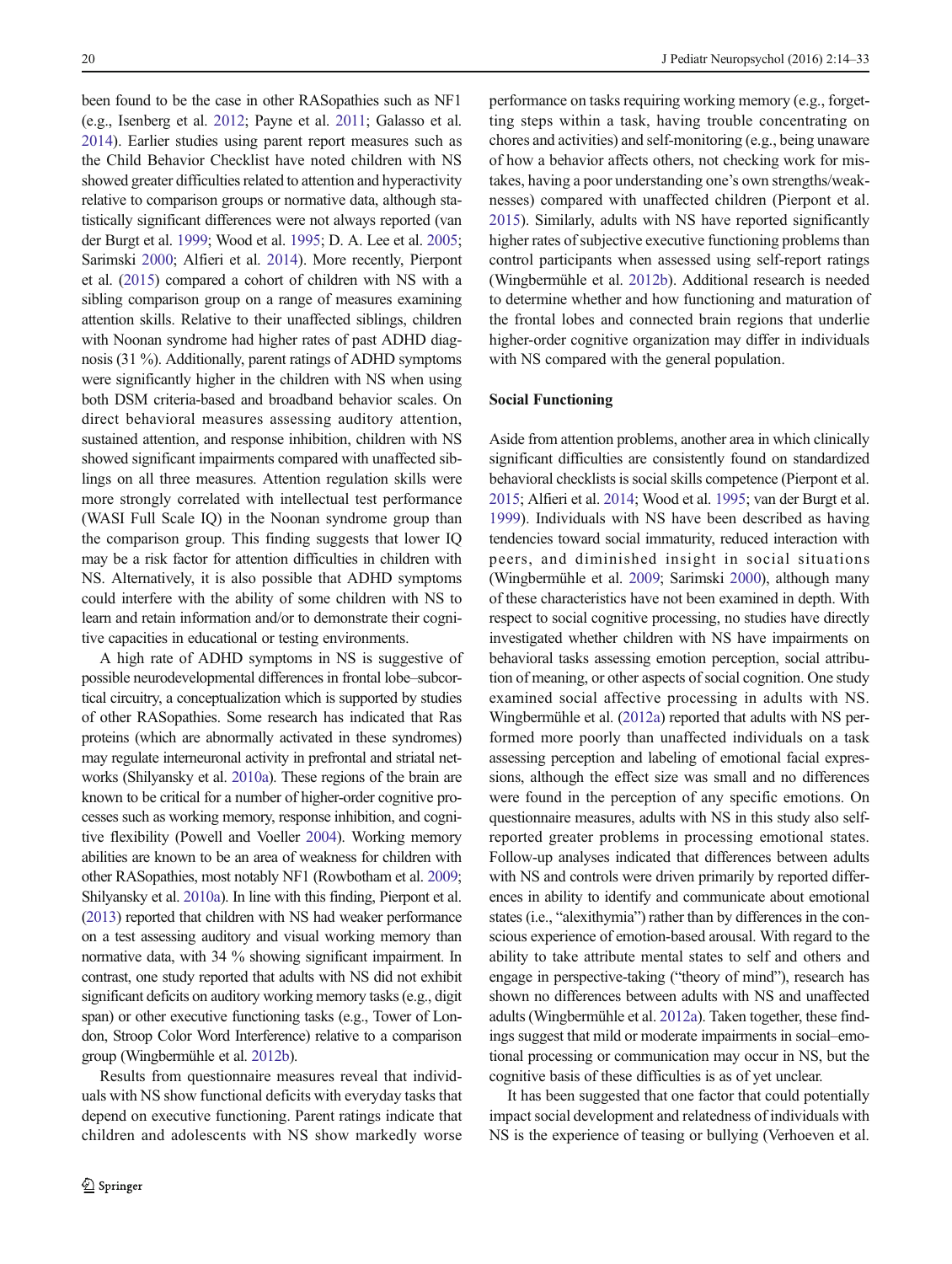been found to be the case in other RASopathies such as NF1 (e.g., Isenberg et al. [2012](#page-17-0); Payne et al. [2011](#page-17-0); Galasso et al. [2014\)](#page-16-0). Earlier studies using parent report measures such as the Child Behavior Checklist have noted children with NS showed greater difficulties related to attention and hyperactivity relative to comparison groups or normative data, although statistically significant differences were not always reported (van der Burgt et al. [1999;](#page-19-0) Wood et al. [1995;](#page-19-0) D. A. Lee et al. [2005](#page-17-0); Sarimski [2000](#page-18-0); Alfieri et al. [2014](#page-16-0)). More recently, Pierpont et al. [\(2015\)](#page-18-0) compared a cohort of children with NS with a sibling comparison group on a range of measures examining attention skills. Relative to their unaffected siblings, children with Noonan syndrome had higher rates of past ADHD diagnosis (31 %). Additionally, parent ratings of ADHD symptoms were significantly higher in the children with NS when using both DSM criteria-based and broadband behavior scales. On direct behavioral measures assessing auditory attention, sustained attention, and response inhibition, children with NS showed significant impairments compared with unaffected siblings on all three measures. Attention regulation skills were more strongly correlated with intellectual test performance (WASI Full Scale IQ) in the Noonan syndrome group than the comparison group. This finding suggests that lower IQ may be a risk factor for attention difficulties in children with NS. Alternatively, it is also possible that ADHD symptoms could interfere with the ability of some children with NS to learn and retain information and/or to demonstrate their cognitive capacities in educational or testing environments.

A high rate of ADHD symptoms in NS is suggestive of possible neurodevelopmental differences in frontal lobe–subcortical circuitry, a conceptualization which is supported by studies of other RASopathies. Some research has indicated that Ras proteins (which are abnormally activated in these syndromes) may regulate interneuronal activity in prefrontal and striatal networks (Shilyansky et al. [2010a\)](#page-18-0). These regions of the brain are known to be critical for a number of higher-order cognitive processes such as working memory, response inhibition, and cognitive flexibility (Powell and Voeller [2004\)](#page-18-0). Working memory abilities are known to be an area of weakness for children with other RASopathies, most notably NF1 (Rowbotham et al. [2009](#page-18-0); Shilyansky et al. [2010a\)](#page-18-0). In line with this finding, Pierpont et al. [\(2013\)](#page-18-0) reported that children with NS had weaker performance on a test assessing auditory and visual working memory than normative data, with 34 % showing significant impairment. In contrast, one study reported that adults with NS did not exhibit significant deficits on auditory working memory tasks (e.g., digit span) or other executive functioning tasks (e.g., Tower of London, Stroop Color Word Interference) relative to a comparison group (Wingbermühle et al. [2012b](#page-19-0)).

Results from questionnaire measures reveal that individuals with NS show functional deficits with everyday tasks that depend on executive functioning. Parent ratings indicate that children and adolescents with NS show markedly worse performance on tasks requiring working memory (e.g., forgetting steps within a task, having trouble concentrating on chores and activities) and self-monitoring (e.g., being unaware of how a behavior affects others, not checking work for mistakes, having a poor understanding one's own strengths/weaknesses) compared with unaffected children (Pierpont et al. [2015\)](#page-18-0). Similarly, adults with NS have reported significantly higher rates of subjective executive functioning problems than control participants when assessed using self-report ratings (Wingbermühle et al. [2012b\)](#page-19-0). Additional research is needed to determine whether and how functioning and maturation of the frontal lobes and connected brain regions that underlie higher-order cognitive organization may differ in individuals with NS compared with the general population.

## Social Functioning

Aside from attention problems, another area in which clinically significant difficulties are consistently found on standardized behavioral checklists is social skills competence (Pierpont et al. [2015](#page-18-0); Alfieri et al. [2014](#page-16-0); Wood et al. [1995;](#page-19-0) van der Burgt et al. [1999\)](#page-19-0). Individuals with NS have been described as having tendencies toward social immaturity, reduced interaction with peers, and diminished insight in social situations (Wingbermühle et al. [2009;](#page-19-0) Sarimski [2000](#page-18-0)), although many of these characteristics have not been examined in depth. With respect to social cognitive processing, no studies have directly investigated whether children with NS have impairments on behavioral tasks assessing emotion perception, social attribution of meaning, or other aspects of social cognition. One study examined social affective processing in adults with NS. Wingbermühle et al. ([2012a](#page-19-0)) reported that adults with NS performed more poorly than unaffected individuals on a task assessing perception and labeling of emotional facial expressions, although the effect size was small and no differences were found in the perception of any specific emotions. On questionnaire measures, adults with NS in this study also selfreported greater problems in processing emotional states. Follow-up analyses indicated that differences between adults with NS and controls were driven primarily by reported differences in ability to identify and communicate about emotional states (i.e., "alexithymia") rather than by differences in the conscious experience of emotion-based arousal. With regard to the ability to take attribute mental states to self and others and engage in perspective-taking ("theory of mind"), research has shown no differences between adults with NS and unaffected adults (Wingbermühle et al. [2012a](#page-19-0)). Taken together, these findings suggest that mild or moderate impairments in social–emotional processing or communication may occur in NS, but the cognitive basis of these difficulties is as of yet unclear.

It has been suggested that one factor that could potentially impact social development and relatedness of individuals with NS is the experience of teasing or bullying (Verhoeven et al.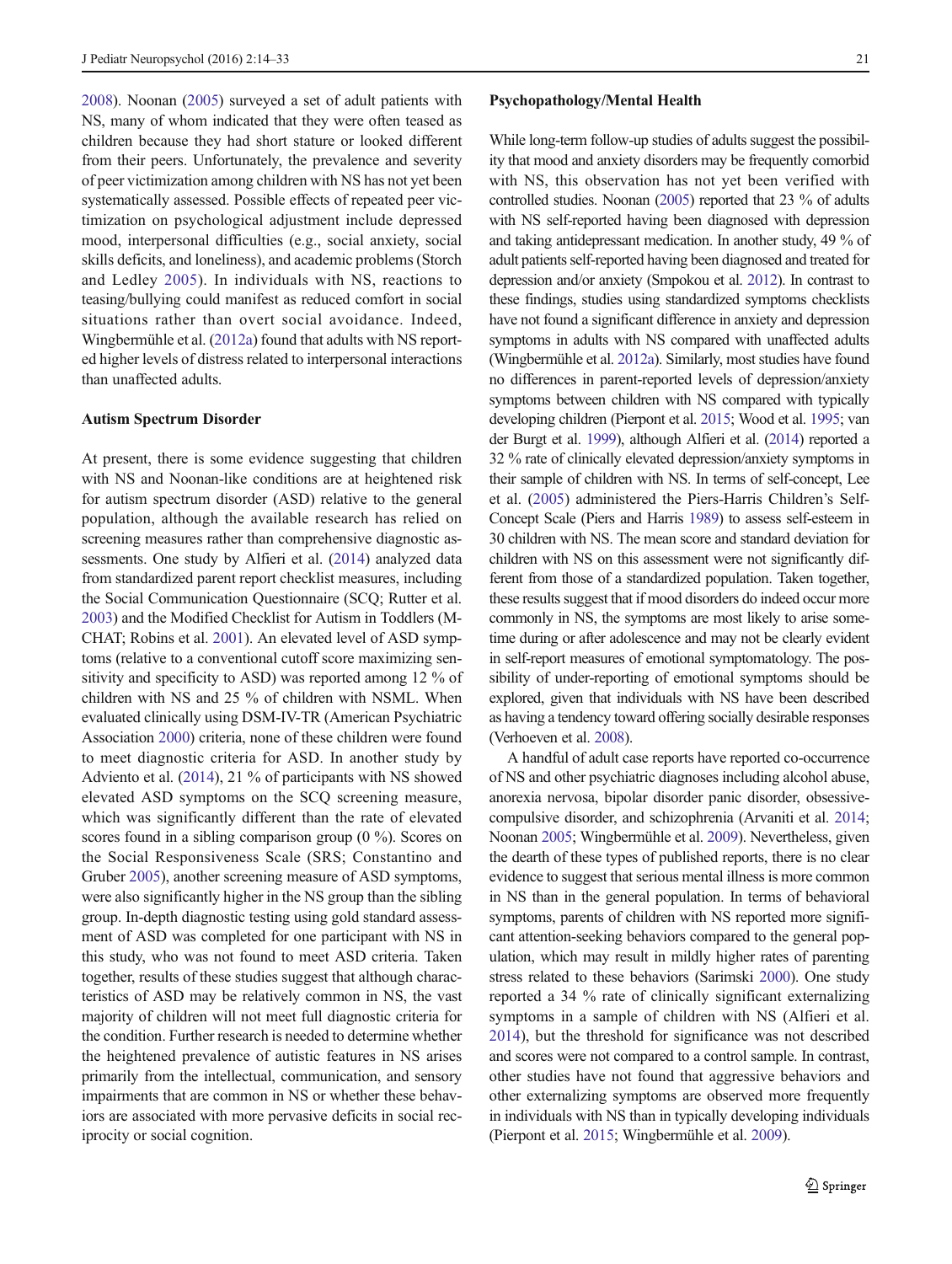[2008\)](#page-19-0). Noonan [\(2005\)](#page-17-0) surveyed a set of adult patients with NS, many of whom indicated that they were often teased as children because they had short stature or looked different from their peers. Unfortunately, the prevalence and severity of peer victimization among children with NS has not yet been systematically assessed. Possible effects of repeated peer victimization on psychological adjustment include depressed mood, interpersonal difficulties (e.g., social anxiety, social skills deficits, and loneliness), and academic problems (Storch and Ledley [2005\)](#page-18-0). In individuals with NS, reactions to teasing/bullying could manifest as reduced comfort in social situations rather than overt social avoidance. Indeed, Wingbermühle et al. [\(2012a](#page-19-0)) found that adults with NS reported higher levels of distress related to interpersonal interactions than unaffected adults.

#### Autism Spectrum Disorder

At present, there is some evidence suggesting that children with NS and Noonan-like conditions are at heightened risk for autism spectrum disorder (ASD) relative to the general population, although the available research has relied on screening measures rather than comprehensive diagnostic assessments. One study by Alfieri et al. ([2014](#page-16-0)) analyzed data from standardized parent report checklist measures, including the Social Communication Questionnaire (SCQ; Rutter et al. [2003\)](#page-18-0) and the Modified Checklist for Autism in Toddlers (M-CHAT; Robins et al. [2001\)](#page-18-0). An elevated level of ASD symptoms (relative to a conventional cutoff score maximizing sensitivity and specificity to ASD) was reported among 12 % of children with NS and 25 % of children with NSML. When evaluated clinically using DSM-IV-TR (American Psychiatric Association [2000\)](#page-16-0) criteria, none of these children were found to meet diagnostic criteria for ASD. In another study by Adviento et al. ([2014](#page-16-0)), 21 % of participants with NS showed elevated ASD symptoms on the SCQ screening measure, which was significantly different than the rate of elevated scores found in a sibling comparison group (0 %). Scores on the Social Responsiveness Scale (SRS; Constantino and Gruber [2005](#page-16-0)), another screening measure of ASD symptoms, were also significantly higher in the NS group than the sibling group. In-depth diagnostic testing using gold standard assessment of ASD was completed for one participant with NS in this study, who was not found to meet ASD criteria. Taken together, results of these studies suggest that although characteristics of ASD may be relatively common in NS, the vast majority of children will not meet full diagnostic criteria for the condition. Further research is needed to determine whether the heightened prevalence of autistic features in NS arises primarily from the intellectual, communication, and sensory impairments that are common in NS or whether these behaviors are associated with more pervasive deficits in social reciprocity or social cognition.

#### Psychopathology/Mental Health

While long-term follow-up studies of adults suggest the possibility that mood and anxiety disorders may be frequently comorbid with NS, this observation has not yet been verified with controlled studies. Noonan [\(2005\)](#page-17-0) reported that 23 % of adults with NS self-reported having been diagnosed with depression and taking antidepressant medication. In another study, 49 % of adult patients self-reported having been diagnosed and treated for depression and/or anxiety (Smpokou et al. [2012](#page-18-0)). In contrast to these findings, studies using standardized symptoms checklists have not found a significant difference in anxiety and depression symptoms in adults with NS compared with unaffected adults (Wingbermühle et al. [2012a](#page-19-0)). Similarly, most studies have found no differences in parent-reported levels of depression/anxiety symptoms between children with NS compared with typically developing children (Pierpont et al. [2015](#page-18-0); Wood et al. [1995;](#page-19-0) van der Burgt et al. [1999\)](#page-19-0), although Alfieri et al. [\(2014](#page-16-0)) reported a 32 % rate of clinically elevated depression/anxiety symptoms in their sample of children with NS. In terms of self-concept, Lee et al. ([2005](#page-17-0)) administered the Piers-Harris Children's Self-Concept Scale (Piers and Harris [1989\)](#page-18-0) to assess self-esteem in 30 children with NS. The mean score and standard deviation for children with NS on this assessment were not significantly different from those of a standardized population. Taken together, these results suggest that if mood disorders do indeed occur more commonly in NS, the symptoms are most likely to arise sometime during or after adolescence and may not be clearly evident in self-report measures of emotional symptomatology. The possibility of under-reporting of emotional symptoms should be explored, given that individuals with NS have been described as having a tendency toward offering socially desirable responses (Verhoeven et al. [2008\)](#page-19-0).

A handful of adult case reports have reported co-occurrence of NS and other psychiatric diagnoses including alcohol abuse, anorexia nervosa, bipolar disorder panic disorder, obsessivecompulsive disorder, and schizophrenia (Arvaniti et al. [2014;](#page-16-0) Noonan [2005](#page-17-0); Wingbermühle et al. [2009\)](#page-19-0). Nevertheless, given the dearth of these types of published reports, there is no clear evidence to suggest that serious mental illness is more common in NS than in the general population. In terms of behavioral symptoms, parents of children with NS reported more significant attention-seeking behaviors compared to the general population, which may result in mildly higher rates of parenting stress related to these behaviors (Sarimski [2000\)](#page-18-0). One study reported a 34 % rate of clinically significant externalizing symptoms in a sample of children with NS (Alfieri et al. [2014\)](#page-16-0), but the threshold for significance was not described and scores were not compared to a control sample. In contrast, other studies have not found that aggressive behaviors and other externalizing symptoms are observed more frequently in individuals with NS than in typically developing individuals (Pierpont et al. [2015](#page-18-0); Wingbermühle et al. [2009](#page-19-0)).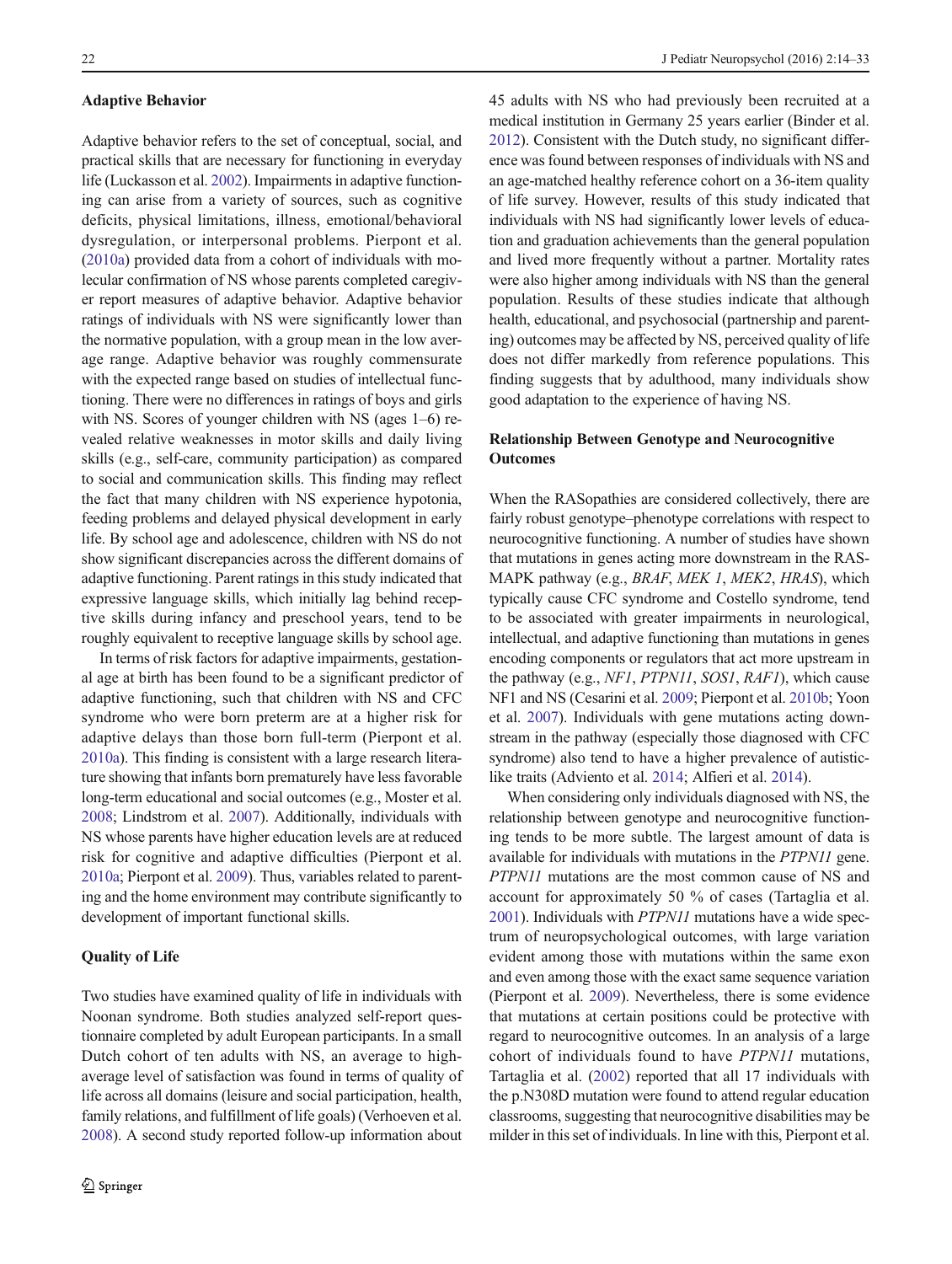#### Adaptive Behavior

Adaptive behavior refers to the set of conceptual, social, and practical skills that are necessary for functioning in everyday life (Luckasson et al. [2002\)](#page-17-0). Impairments in adaptive functioning can arise from a variety of sources, such as cognitive deficits, physical limitations, illness, emotional/behavioral dysregulation, or interpersonal problems. Pierpont et al. [\(2010a\)](#page-17-0) provided data from a cohort of individuals with molecular confirmation of NS whose parents completed caregiver report measures of adaptive behavior. Adaptive behavior ratings of individuals with NS were significantly lower than the normative population, with a group mean in the low average range. Adaptive behavior was roughly commensurate with the expected range based on studies of intellectual functioning. There were no differences in ratings of boys and girls with NS. Scores of younger children with NS (ages 1–6) revealed relative weaknesses in motor skills and daily living skills (e.g., self-care, community participation) as compared to social and communication skills. This finding may reflect the fact that many children with NS experience hypotonia, feeding problems and delayed physical development in early life. By school age and adolescence, children with NS do not show significant discrepancies across the different domains of adaptive functioning. Parent ratings in this study indicated that expressive language skills, which initially lag behind receptive skills during infancy and preschool years, tend to be roughly equivalent to receptive language skills by school age.

In terms of risk factors for adaptive impairments, gestational age at birth has been found to be a significant predictor of adaptive functioning, such that children with NS and CFC syndrome who were born preterm are at a higher risk for adaptive delays than those born full-term (Pierpont et al. [2010a\)](#page-17-0). This finding is consistent with a large research literature showing that infants born prematurely have less favorable long-term educational and social outcomes (e.g., Moster et al. [2008;](#page-17-0) Lindstrom et al. [2007\)](#page-17-0). Additionally, individuals with NS whose parents have higher education levels are at reduced risk for cognitive and adaptive difficulties (Pierpont et al. [2010a;](#page-17-0) Pierpont et al. [2009\)](#page-17-0). Thus, variables related to parenting and the home environment may contribute significantly to development of important functional skills.

## Quality of Life

Two studies have examined quality of life in individuals with Noonan syndrome. Both studies analyzed self-report questionnaire completed by adult European participants. In a small Dutch cohort of ten adults with NS, an average to highaverage level of satisfaction was found in terms of quality of life across all domains (leisure and social participation, health, family relations, and fulfillment of life goals) (Verhoeven et al. [2008\)](#page-19-0). A second study reported follow-up information about

45 adults with NS who had previously been recruited at a medical institution in Germany 25 years earlier (Binder et al. [2012\)](#page-16-0). Consistent with the Dutch study, no significant difference was found between responses of individuals with NS and an age-matched healthy reference cohort on a 36-item quality of life survey. However, results of this study indicated that individuals with NS had significantly lower levels of education and graduation achievements than the general population and lived more frequently without a partner. Mortality rates were also higher among individuals with NS than the general population. Results of these studies indicate that although health, educational, and psychosocial (partnership and parenting) outcomes may be affected by NS, perceived quality of life does not differ markedly from reference populations. This finding suggests that by adulthood, many individuals show good adaptation to the experience of having NS.

## Relationship Between Genotype and Neurocognitive **Outcomes**

When the RASopathies are considered collectively, there are fairly robust genotype–phenotype correlations with respect to neurocognitive functioning. A number of studies have shown that mutations in genes acting more downstream in the RAS-MAPK pathway (e.g., BRAF, MEK 1, MEK2, HRAS), which typically cause CFC syndrome and Costello syndrome, tend to be associated with greater impairments in neurological, intellectual, and adaptive functioning than mutations in genes encoding components or regulators that act more upstream in the pathway (e.g., NF1, PTPN11, SOS1, RAF1), which cause NF1 and NS (Cesarini et al. [2009;](#page-16-0) Pierpont et al. [2010b;](#page-18-0) Yoon et al. [2007\)](#page-19-0). Individuals with gene mutations acting downstream in the pathway (especially those diagnosed with CFC syndrome) also tend to have a higher prevalence of autisticlike traits (Adviento et al. [2014;](#page-16-0) Alfieri et al. [2014](#page-16-0)).

When considering only individuals diagnosed with NS, the relationship between genotype and neurocognitive functioning tends to be more subtle. The largest amount of data is available for individuals with mutations in the PTPN11 gene. PTPN11 mutations are the most common cause of NS and account for approximately 50 % of cases (Tartaglia et al. [2001\)](#page-18-0). Individuals with PTPN11 mutations have a wide spectrum of neuropsychological outcomes, with large variation evident among those with mutations within the same exon and even among those with the exact same sequence variation (Pierpont et al. [2009](#page-17-0)). Nevertheless, there is some evidence that mutations at certain positions could be protective with regard to neurocognitive outcomes. In an analysis of a large cohort of individuals found to have PTPN11 mutations, Tartaglia et al. [\(2002](#page-18-0)) reported that all 17 individuals with the p.N308D mutation were found to attend regular education classrooms, suggesting that neurocognitive disabilities may be milder in this set of individuals. In line with this, Pierpont et al.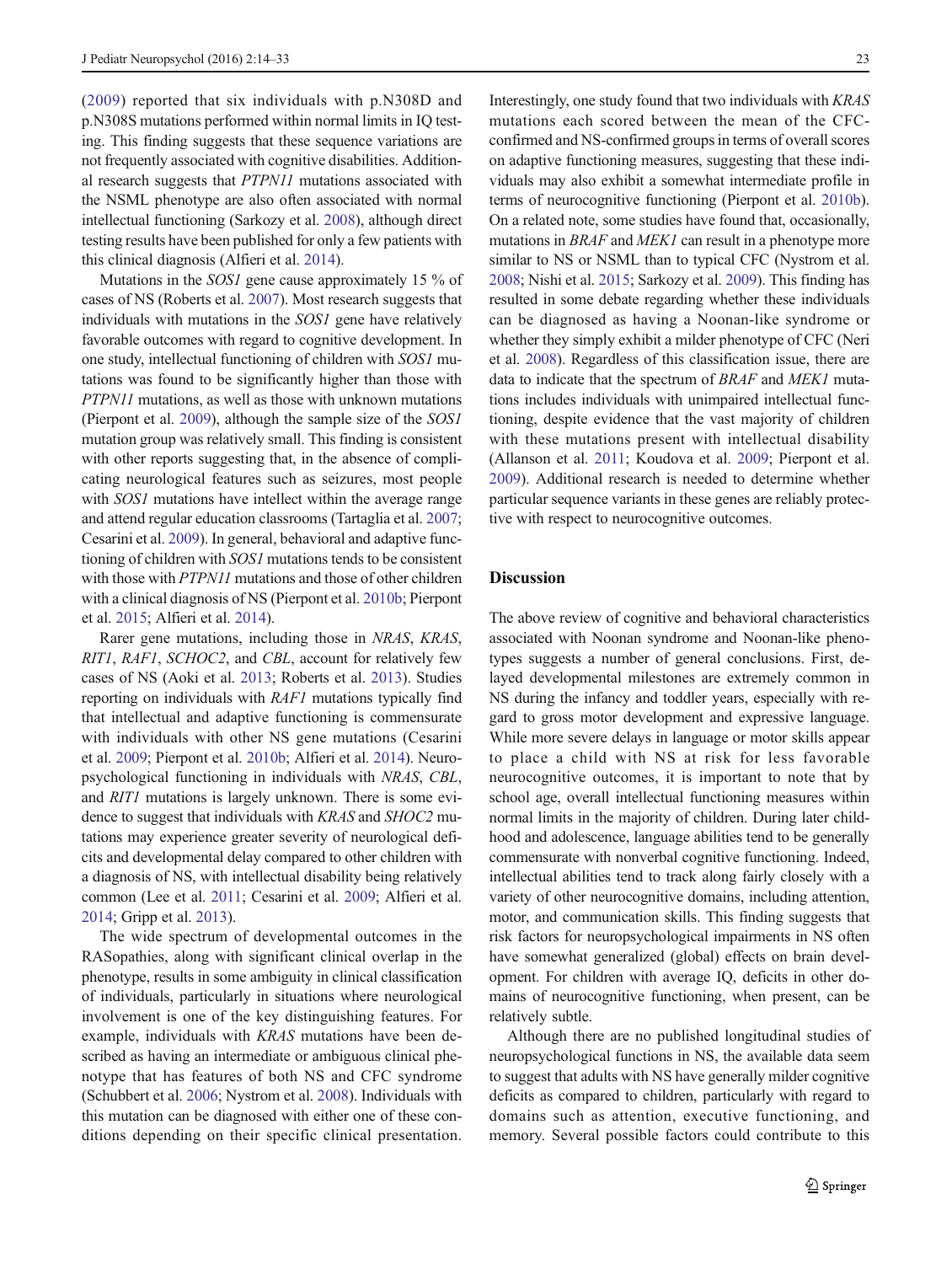[\(2009\)](#page-17-0) reported that six individuals with p.N308D and p.N308S mutations performed within normal limits in IQ testing. This finding suggests that these sequence variations are not frequently associated with cognitive disabilities. Additional research suggests that PTPN11 mutations associated with the NSML phenotype are also often associated with normal intellectual functioning (Sarkozy et al. [2008](#page-18-0)), although direct testing results have been published for only a few patients with this clinical diagnosis (Alfieri et al. [2014\)](#page-16-0).

Mutations in the *SOS1* gene cause approximately 15 % of cases of NS (Roberts et al. [2007\)](#page-18-0). Most research suggests that individuals with mutations in the SOS1 gene have relatively favorable outcomes with regard to cognitive development. In one study, intellectual functioning of children with SOS1 mutations was found to be significantly higher than those with PTPN11 mutations, as well as those with unknown mutations (Pierpont et al. [2009\)](#page-17-0), although the sample size of the SOS1 mutation group was relatively small. This finding is consistent with other reports suggesting that, in the absence of complicating neurological features such as seizures, most people with *SOS1* mutations have intellect within the average range and attend regular education classrooms (Tartaglia et al. [2007](#page-18-0); Cesarini et al. [2009\)](#page-16-0). In general, behavioral and adaptive functioning of children with SOS1 mutations tends to be consistent with those with PTPN11 mutations and those of other children with a clinical diagnosis of NS (Pierpont et al. [2010b;](#page-18-0) Pierpont et al. [2015](#page-18-0); Alfieri et al. [2014\)](#page-16-0).

Rarer gene mutations, including those in NRAS, KRAS, RIT1, RAF1, SCHOC2, and CBL, account for relatively few cases of NS (Aoki et al. [2013](#page-16-0); Roberts et al. [2013\)](#page-18-0). Studies reporting on individuals with RAF1 mutations typically find that intellectual and adaptive functioning is commensurate with individuals with other NS gene mutations (Cesarini et al. [2009](#page-16-0); Pierpont et al. [2010b;](#page-18-0) Alfieri et al. [2014](#page-16-0)). Neuropsychological functioning in individuals with NRAS, CBL, and RIT1 mutations is largely unknown. There is some evidence to suggest that individuals with KRAS and SHOC2 mutations may experience greater severity of neurological deficits and developmental delay compared to other children with a diagnosis of NS, with intellectual disability being relatively common (Lee et al. [2011](#page-17-0); Cesarini et al. [2009](#page-16-0); Alfieri et al. [2014;](#page-16-0) Gripp et al. [2013](#page-16-0)).

The wide spectrum of developmental outcomes in the RASopathies, along with significant clinical overlap in the phenotype, results in some ambiguity in clinical classification of individuals, particularly in situations where neurological involvement is one of the key distinguishing features. For example, individuals with KRAS mutations have been described as having an intermediate or ambiguous clinical phenotype that has features of both NS and CFC syndrome (Schubbert et al. [2006](#page-18-0); Nystrom et al. [2008](#page-17-0)). Individuals with this mutation can be diagnosed with either one of these conditions depending on their specific clinical presentation.

Interestingly, one study found that two individuals with KRAS mutations each scored between the mean of the CFCconfirmed and NS-confirmed groups in terms of overall scores on adaptive functioning measures, suggesting that these individuals may also exhibit a somewhat intermediate profile in terms of neurocognitive functioning (Pierpont et al. [2010b\)](#page-18-0). On a related note, some studies have found that, occasionally, mutations in BRAF and MEK1 can result in a phenotype more similar to NS or NSML than to typical CFC (Nystrom et al. [2008;](#page-17-0) Nishi et al. [2015](#page-17-0); Sarkozy et al. [2009\)](#page-18-0). This finding has resulted in some debate regarding whether these individuals can be diagnosed as having a Noonan-like syndrome or whether they simply exhibit a milder phenotype of CFC (Neri et al. [2008](#page-17-0)). Regardless of this classification issue, there are data to indicate that the spectrum of BRAF and MEK1 mutations includes individuals with unimpaired intellectual functioning, despite evidence that the vast majority of children with these mutations present with intellectual disability (Allanson et al. [2011](#page-16-0); Koudova et al. [2009](#page-17-0); Pierpont et al. [2009\)](#page-17-0). Additional research is needed to determine whether particular sequence variants in these genes are reliably protective with respect to neurocognitive outcomes.

## **Discussion**

The above review of cognitive and behavioral characteristics associated with Noonan syndrome and Noonan-like phenotypes suggests a number of general conclusions. First, delayed developmental milestones are extremely common in NS during the infancy and toddler years, especially with regard to gross motor development and expressive language. While more severe delays in language or motor skills appear to place a child with NS at risk for less favorable neurocognitive outcomes, it is important to note that by school age, overall intellectual functioning measures within normal limits in the majority of children. During later childhood and adolescence, language abilities tend to be generally commensurate with nonverbal cognitive functioning. Indeed, intellectual abilities tend to track along fairly closely with a variety of other neurocognitive domains, including attention, motor, and communication skills. This finding suggests that risk factors for neuropsychological impairments in NS often have somewhat generalized (global) effects on brain development. For children with average IQ, deficits in other domains of neurocognitive functioning, when present, can be relatively subtle.

Although there are no published longitudinal studies of neuropsychological functions in NS, the available data seem to suggest that adults with NS have generally milder cognitive deficits as compared to children, particularly with regard to domains such as attention, executive functioning, and memory. Several possible factors could contribute to this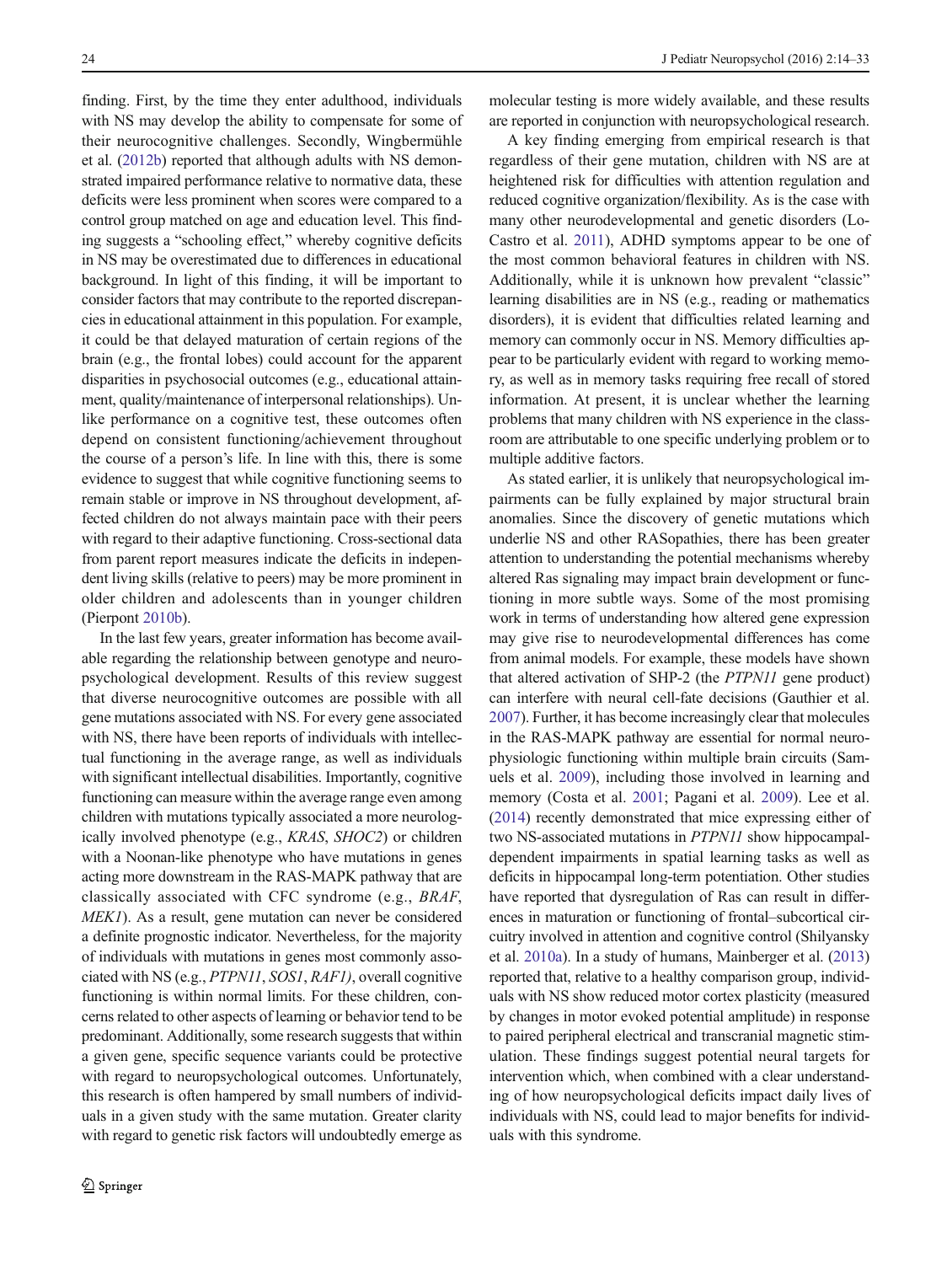finding. First, by the time they enter adulthood, individuals with NS may develop the ability to compensate for some of their neurocognitive challenges. Secondly, Wingbermühle et al. ([2012b](#page-19-0)) reported that although adults with NS demonstrated impaired performance relative to normative data, these deficits were less prominent when scores were compared to a control group matched on age and education level. This finding suggests a "schooling effect," whereby cognitive deficits in NS may be overestimated due to differences in educational background. In light of this finding, it will be important to consider factors that may contribute to the reported discrepancies in educational attainment in this population. For example, it could be that delayed maturation of certain regions of the brain (e.g., the frontal lobes) could account for the apparent disparities in psychosocial outcomes (e.g., educational attainment, quality/maintenance of interpersonal relationships). Unlike performance on a cognitive test, these outcomes often depend on consistent functioning/achievement throughout the course of a person's life. In line with this, there is some evidence to suggest that while cognitive functioning seems to remain stable or improve in NS throughout development, affected children do not always maintain pace with their peers with regard to their adaptive functioning. Cross-sectional data from parent report measures indicate the deficits in independent living skills (relative to peers) may be more prominent in older children and adolescents than in younger children (Pierpont [2010b\)](#page-18-0).

In the last few years, greater information has become available regarding the relationship between genotype and neuropsychological development. Results of this review suggest that diverse neurocognitive outcomes are possible with all gene mutations associated with NS. For every gene associated with NS, there have been reports of individuals with intellectual functioning in the average range, as well as individuals with significant intellectual disabilities. Importantly, cognitive functioning can measure within the average range even among children with mutations typically associated a more neurologically involved phenotype (e.g., KRAS, SHOC2) or children with a Noonan-like phenotype who have mutations in genes acting more downstream in the RAS-MAPK pathway that are classically associated with CFC syndrome (e.g., BRAF, MEK1). As a result, gene mutation can never be considered a definite prognostic indicator. Nevertheless, for the majority of individuals with mutations in genes most commonly associated with NS (e.g., PTPN11, SOS1, RAF1), overall cognitive functioning is within normal limits. For these children, concerns related to other aspects of learning or behavior tend to be predominant. Additionally, some research suggests that within a given gene, specific sequence variants could be protective with regard to neuropsychological outcomes. Unfortunately, this research is often hampered by small numbers of individuals in a given study with the same mutation. Greater clarity with regard to genetic risk factors will undoubtedly emerge as molecular testing is more widely available, and these results are reported in conjunction with neuropsychological research.

A key finding emerging from empirical research is that regardless of their gene mutation, children with NS are at heightened risk for difficulties with attention regulation and reduced cognitive organization/flexibility. As is the case with many other neurodevelopmental and genetic disorders (Lo-Castro et al. [2011\)](#page-17-0), ADHD symptoms appear to be one of the most common behavioral features in children with NS. Additionally, while it is unknown how prevalent "classic" learning disabilities are in NS (e.g., reading or mathematics disorders), it is evident that difficulties related learning and memory can commonly occur in NS. Memory difficulties appear to be particularly evident with regard to working memory, as well as in memory tasks requiring free recall of stored information. At present, it is unclear whether the learning problems that many children with NS experience in the classroom are attributable to one specific underlying problem or to multiple additive factors.

As stated earlier, it is unlikely that neuropsychological impairments can be fully explained by major structural brain anomalies. Since the discovery of genetic mutations which underlie NS and other RASopathies, there has been greater attention to understanding the potential mechanisms whereby altered Ras signaling may impact brain development or functioning in more subtle ways. Some of the most promising work in terms of understanding how altered gene expression may give rise to neurodevelopmental differences has come from animal models. For example, these models have shown that altered activation of SHP-2 (the PTPN11 gene product) can interfere with neural cell-fate decisions (Gauthier et al. [2007\)](#page-16-0). Further, it has become increasingly clear that molecules in the RAS-MAPK pathway are essential for normal neurophysiologic functioning within multiple brain circuits (Samuels et al. [2009\)](#page-18-0), including those involved in learning and memory (Costa et al. [2001;](#page-16-0) Pagani et al. [2009](#page-17-0)). Lee et al. [\(2014\)](#page-17-0) recently demonstrated that mice expressing either of two NS-associated mutations in PTPN11 show hippocampaldependent impairments in spatial learning tasks as well as deficits in hippocampal long-term potentiation. Other studies have reported that dysregulation of Ras can result in differences in maturation or functioning of frontal–subcortical circuitry involved in attention and cognitive control (Shilyansky et al. [2010a\)](#page-18-0). In a study of humans, Mainberger et al. [\(2013](#page-17-0)) reported that, relative to a healthy comparison group, individuals with NS show reduced motor cortex plasticity (measured by changes in motor evoked potential amplitude) in response to paired peripheral electrical and transcranial magnetic stimulation. These findings suggest potential neural targets for intervention which, when combined with a clear understanding of how neuropsychological deficits impact daily lives of individuals with NS, could lead to major benefits for individuals with this syndrome.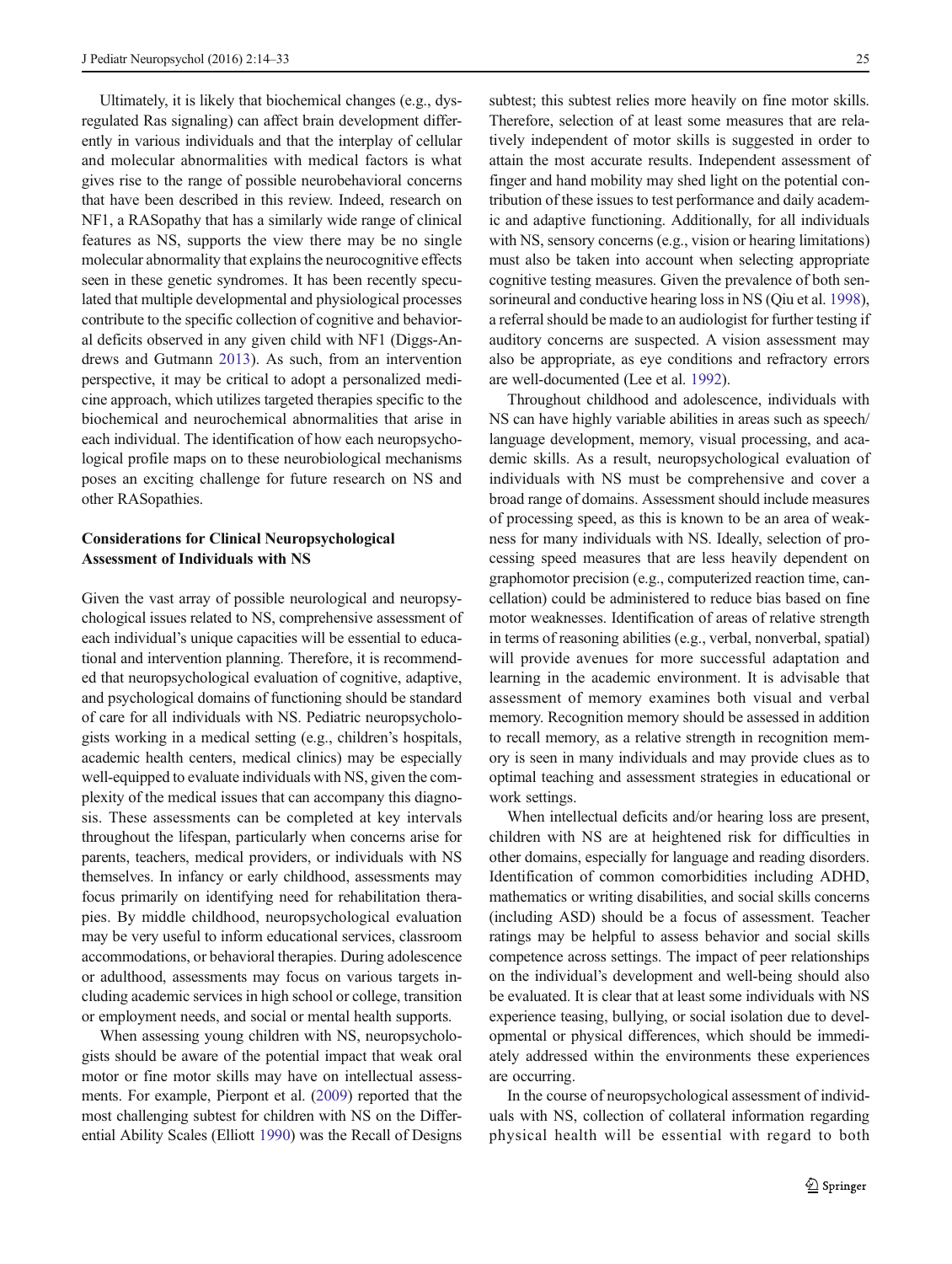Ultimately, it is likely that biochemical changes (e.g., dysregulated Ras signaling) can affect brain development differently in various individuals and that the interplay of cellular and molecular abnormalities with medical factors is what gives rise to the range of possible neurobehavioral concerns that have been described in this review. Indeed, research on NF1, a RASopathy that has a similarly wide range of clinical features as NS, supports the view there may be no single molecular abnormality that explains the neurocognitive effects seen in these genetic syndromes. It has been recently speculated that multiple developmental and physiological processes contribute to the specific collection of cognitive and behavioral deficits observed in any given child with NF1 (Diggs-Andrews and Gutmann [2013\)](#page-16-0). As such, from an intervention perspective, it may be critical to adopt a personalized medicine approach, which utilizes targeted therapies specific to the biochemical and neurochemical abnormalities that arise in each individual. The identification of how each neuropsychological profile maps on to these neurobiological mechanisms poses an exciting challenge for future research on NS and other RASopathies.

# Considerations for Clinical Neuropsychological Assessment of Individuals with NS

Given the vast array of possible neurological and neuropsychological issues related to NS, comprehensive assessment of each individual's unique capacities will be essential to educational and intervention planning. Therefore, it is recommended that neuropsychological evaluation of cognitive, adaptive, and psychological domains of functioning should be standard of care for all individuals with NS. Pediatric neuropsychologists working in a medical setting (e.g., children's hospitals, academic health centers, medical clinics) may be especially well-equipped to evaluate individuals with NS, given the complexity of the medical issues that can accompany this diagnosis. These assessments can be completed at key intervals throughout the lifespan, particularly when concerns arise for parents, teachers, medical providers, or individuals with NS themselves. In infancy or early childhood, assessments may focus primarily on identifying need for rehabilitation therapies. By middle childhood, neuropsychological evaluation may be very useful to inform educational services, classroom accommodations, or behavioral therapies. During adolescence or adulthood, assessments may focus on various targets including academic services in high school or college, transition or employment needs, and social or mental health supports.

When assessing young children with NS, neuropsychologists should be aware of the potential impact that weak oral motor or fine motor skills may have on intellectual assessments. For example, Pierpont et al. ([2009](#page-17-0)) reported that the most challenging subtest for children with NS on the Differential Ability Scales (Elliott [1990\)](#page-16-0) was the Recall of Designs subtest; this subtest relies more heavily on fine motor skills. Therefore, selection of at least some measures that are relatively independent of motor skills is suggested in order to attain the most accurate results. Independent assessment of finger and hand mobility may shed light on the potential contribution of these issues to test performance and daily academic and adaptive functioning. Additionally, for all individuals with NS, sensory concerns (e.g., vision or hearing limitations) must also be taken into account when selecting appropriate cognitive testing measures. Given the prevalence of both sensorineural and conductive hearing loss in NS (Qiu et al. [1998\)](#page-18-0), a referral should be made to an audiologist for further testing if auditory concerns are suspected. A vision assessment may also be appropriate, as eye conditions and refractory errors are well-documented (Lee et al. [1992\)](#page-17-0).

Throughout childhood and adolescence, individuals with NS can have highly variable abilities in areas such as speech/ language development, memory, visual processing, and academic skills. As a result, neuropsychological evaluation of individuals with NS must be comprehensive and cover a broad range of domains. Assessment should include measures of processing speed, as this is known to be an area of weakness for many individuals with NS. Ideally, selection of processing speed measures that are less heavily dependent on graphomotor precision (e.g., computerized reaction time, cancellation) could be administered to reduce bias based on fine motor weaknesses. Identification of areas of relative strength in terms of reasoning abilities (e.g., verbal, nonverbal, spatial) will provide avenues for more successful adaptation and learning in the academic environment. It is advisable that assessment of memory examines both visual and verbal memory. Recognition memory should be assessed in addition to recall memory, as a relative strength in recognition memory is seen in many individuals and may provide clues as to optimal teaching and assessment strategies in educational or work settings.

When intellectual deficits and/or hearing loss are present, children with NS are at heightened risk for difficulties in other domains, especially for language and reading disorders. Identification of common comorbidities including ADHD, mathematics or writing disabilities, and social skills concerns (including ASD) should be a focus of assessment. Teacher ratings may be helpful to assess behavior and social skills competence across settings. The impact of peer relationships on the individual's development and well-being should also be evaluated. It is clear that at least some individuals with NS experience teasing, bullying, or social isolation due to developmental or physical differences, which should be immediately addressed within the environments these experiences are occurring.

In the course of neuropsychological assessment of individuals with NS, collection of collateral information regarding physical health will be essential with regard to both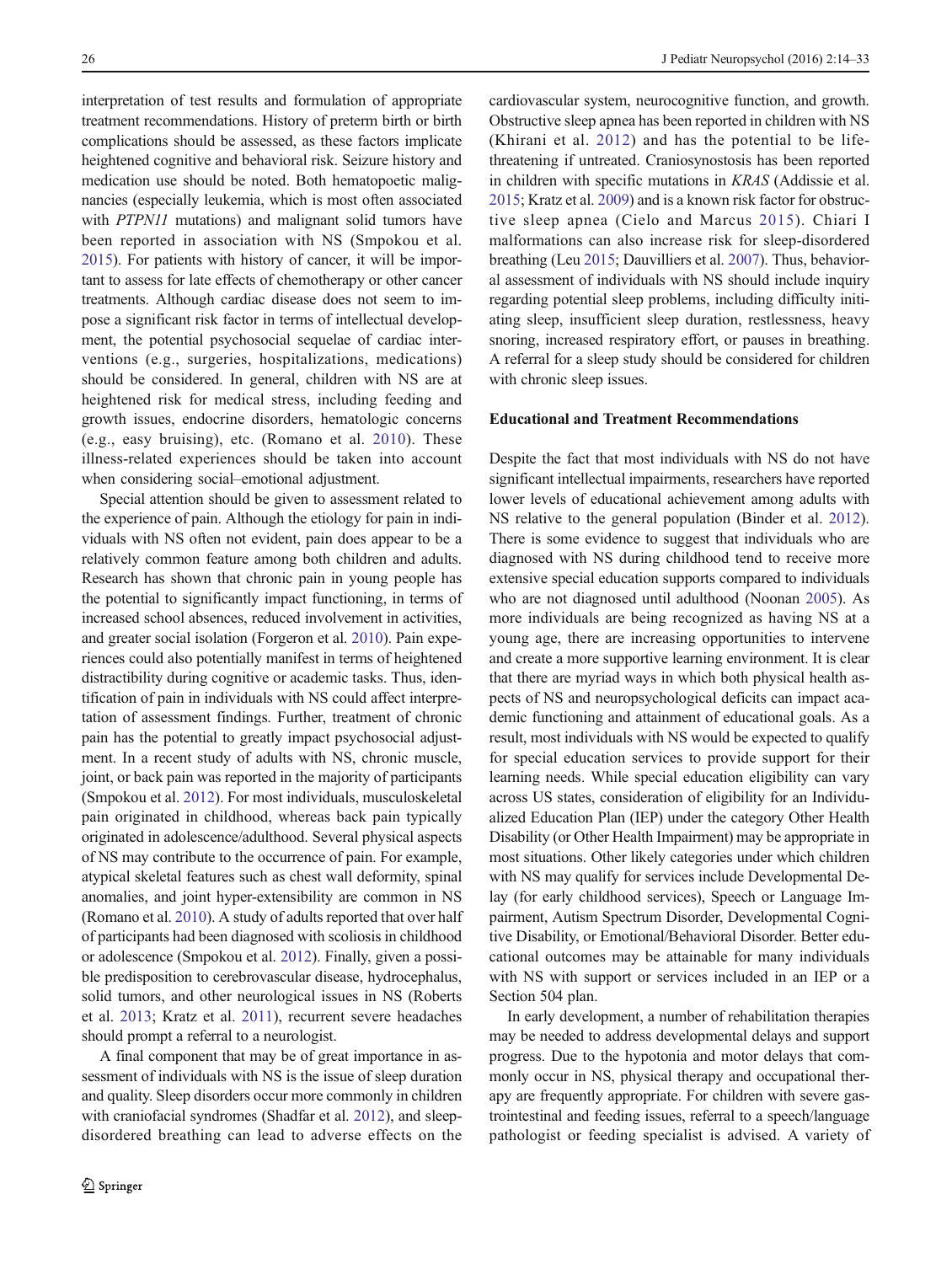interpretation of test results and formulation of appropriate treatment recommendations. History of preterm birth or birth complications should be assessed, as these factors implicate heightened cognitive and behavioral risk. Seizure history and medication use should be noted. Both hematopoetic malignancies (especially leukemia, which is most often associated with PTPN11 mutations) and malignant solid tumors have been reported in association with NS (Smpokou et al. [2015\)](#page-18-0). For patients with history of cancer, it will be important to assess for late effects of chemotherapy or other cancer treatments. Although cardiac disease does not seem to impose a significant risk factor in terms of intellectual development, the potential psychosocial sequelae of cardiac interventions (e.g., surgeries, hospitalizations, medications) should be considered. In general, children with NS are at heightened risk for medical stress, including feeding and growth issues, endocrine disorders, hematologic concerns (e.g., easy bruising), etc. (Romano et al. [2010](#page-18-0)). These illness-related experiences should be taken into account when considering social–emotional adjustment.

Special attention should be given to assessment related to the experience of pain. Although the etiology for pain in individuals with NS often not evident, pain does appear to be a relatively common feature among both children and adults. Research has shown that chronic pain in young people has the potential to significantly impact functioning, in terms of increased school absences, reduced involvement in activities, and greater social isolation (Forgeron et al. [2010\)](#page-16-0). Pain experiences could also potentially manifest in terms of heightened distractibility during cognitive or academic tasks. Thus, identification of pain in individuals with NS could affect interpretation of assessment findings. Further, treatment of chronic pain has the potential to greatly impact psychosocial adjustment. In a recent study of adults with NS, chronic muscle, joint, or back pain was reported in the majority of participants (Smpokou et al. [2012](#page-18-0)). For most individuals, musculoskeletal pain originated in childhood, whereas back pain typically originated in adolescence/adulthood. Several physical aspects of NS may contribute to the occurrence of pain. For example, atypical skeletal features such as chest wall deformity, spinal anomalies, and joint hyper-extensibility are common in NS (Romano et al. [2010](#page-18-0)). A study of adults reported that over half of participants had been diagnosed with scoliosis in childhood or adolescence (Smpokou et al. [2012](#page-18-0)). Finally, given a possible predisposition to cerebrovascular disease, hydrocephalus, solid tumors, and other neurological issues in NS (Roberts et al. [2013](#page-18-0); Kratz et al. [2011\)](#page-17-0), recurrent severe headaches should prompt a referral to a neurologist.

A final component that may be of great importance in assessment of individuals with NS is the issue of sleep duration and quality. Sleep disorders occur more commonly in children with craniofacial syndromes (Shadfar et al. [2012](#page-18-0)), and sleepdisordered breathing can lead to adverse effects on the cardiovascular system, neurocognitive function, and growth. Obstructive sleep apnea has been reported in children with NS (Khirani et al. [2012\)](#page-17-0) and has the potential to be lifethreatening if untreated. Craniosynostosis has been reported in children with specific mutations in KRAS (Addissie et al. [2015;](#page-16-0) Kratz et al. [2009\)](#page-17-0) and is a known risk factor for obstructive sleep apnea (Cielo and Marcus [2015](#page-16-0)). Chiari I malformations can also increase risk for sleep-disordered breathing (Leu [2015](#page-17-0); Dauvilliers et al. [2007](#page-16-0)). Thus, behavioral assessment of individuals with NS should include inquiry regarding potential sleep problems, including difficulty initiating sleep, insufficient sleep duration, restlessness, heavy snoring, increased respiratory effort, or pauses in breathing. A referral for a sleep study should be considered for children with chronic sleep issues.

## Educational and Treatment Recommendations

Despite the fact that most individuals with NS do not have significant intellectual impairments, researchers have reported lower levels of educational achievement among adults with NS relative to the general population (Binder et al. [2012\)](#page-16-0). There is some evidence to suggest that individuals who are diagnosed with NS during childhood tend to receive more extensive special education supports compared to individuals who are not diagnosed until adulthood (Noonan [2005\)](#page-17-0). As more individuals are being recognized as having NS at a young age, there are increasing opportunities to intervene and create a more supportive learning environment. It is clear that there are myriad ways in which both physical health aspects of NS and neuropsychological deficits can impact academic functioning and attainment of educational goals. As a result, most individuals with NS would be expected to qualify for special education services to provide support for their learning needs. While special education eligibility can vary across US states, consideration of eligibility for an Individualized Education Plan (IEP) under the category Other Health Disability (or Other Health Impairment) may be appropriate in most situations. Other likely categories under which children with NS may qualify for services include Developmental Delay (for early childhood services), Speech or Language Impairment, Autism Spectrum Disorder, Developmental Cognitive Disability, or Emotional/Behavioral Disorder. Better educational outcomes may be attainable for many individuals with NS with support or services included in an IEP or a Section 504 plan.

In early development, a number of rehabilitation therapies may be needed to address developmental delays and support progress. Due to the hypotonia and motor delays that commonly occur in NS, physical therapy and occupational therapy are frequently appropriate. For children with severe gastrointestinal and feeding issues, referral to a speech/language pathologist or feeding specialist is advised. A variety of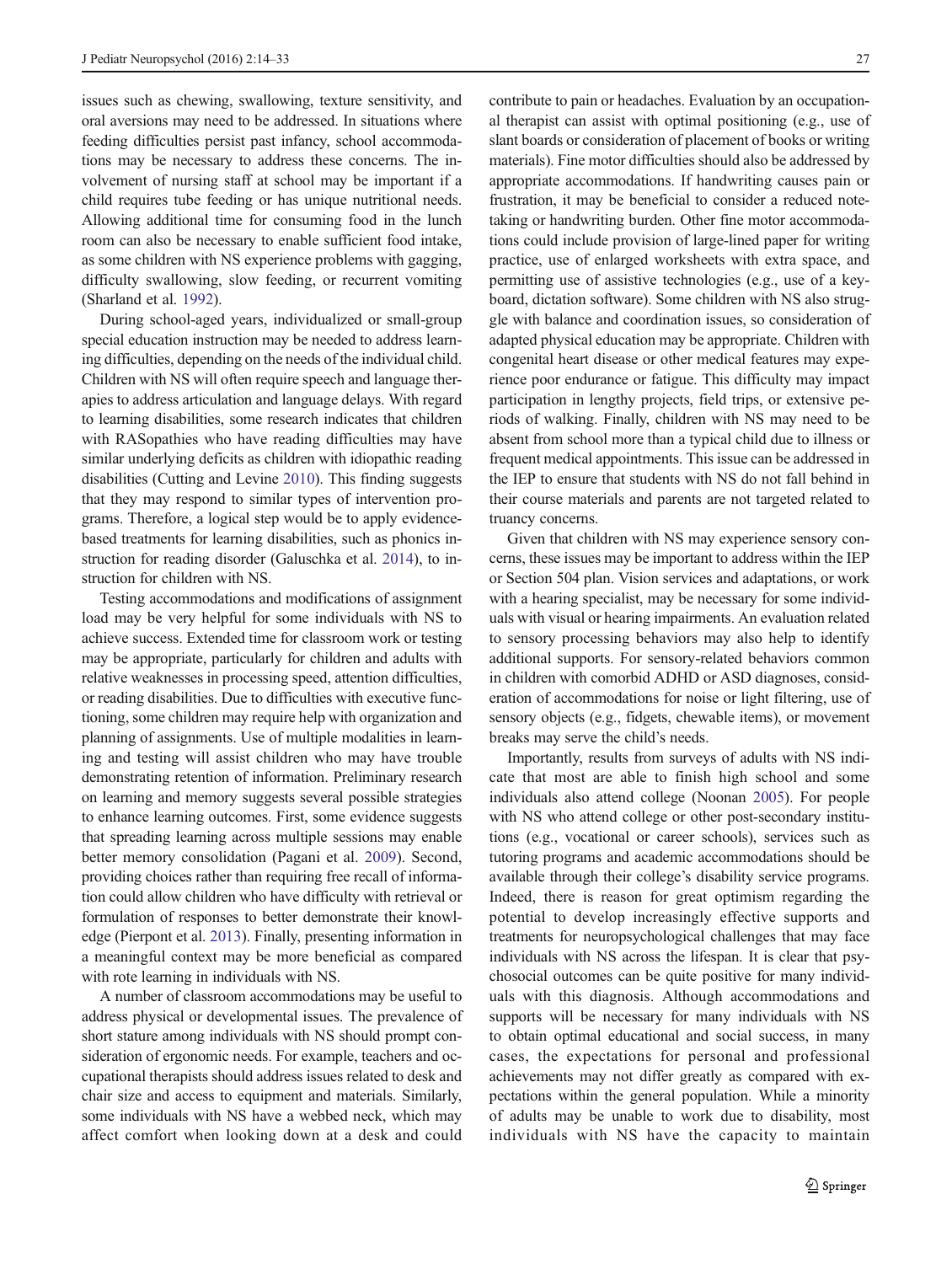issues such as chewing, swallowing, texture sensitivity, and oral aversions may need to be addressed. In situations where feeding difficulties persist past infancy, school accommodations may be necessary to address these concerns. The involvement of nursing staff at school may be important if a child requires tube feeding or has unique nutritional needs. Allowing additional time for consuming food in the lunch room can also be necessary to enable sufficient food intake, as some children with NS experience problems with gagging, difficulty swallowing, slow feeding, or recurrent vomiting (Sharland et al. [1992](#page-18-0)).

During school-aged years, individualized or small-group special education instruction may be needed to address learning difficulties, depending on the needs of the individual child. Children with NS will often require speech and language therapies to address articulation and language delays. With regard to learning disabilities, some research indicates that children with RASopathies who have reading difficulties may have similar underlying deficits as children with idiopathic reading disabilities (Cutting and Levine [2010\)](#page-16-0). This finding suggests that they may respond to similar types of intervention programs. Therefore, a logical step would be to apply evidencebased treatments for learning disabilities, such as phonics instruction for reading disorder (Galuschka et al. [2014\)](#page-16-0), to instruction for children with NS.

Testing accommodations and modifications of assignment load may be very helpful for some individuals with NS to achieve success. Extended time for classroom work or testing may be appropriate, particularly for children and adults with relative weaknesses in processing speed, attention difficulties, or reading disabilities. Due to difficulties with executive functioning, some children may require help with organization and planning of assignments. Use of multiple modalities in learning and testing will assist children who may have trouble demonstrating retention of information. Preliminary research on learning and memory suggests several possible strategies to enhance learning outcomes. First, some evidence suggests that spreading learning across multiple sessions may enable better memory consolidation (Pagani et al. [2009](#page-17-0)). Second, providing choices rather than requiring free recall of information could allow children who have difficulty with retrieval or formulation of responses to better demonstrate their knowledge (Pierpont et al. [2013](#page-18-0)). Finally, presenting information in a meaningful context may be more beneficial as compared with rote learning in individuals with NS.

A number of classroom accommodations may be useful to address physical or developmental issues. The prevalence of short stature among individuals with NS should prompt consideration of ergonomic needs. For example, teachers and occupational therapists should address issues related to desk and chair size and access to equipment and materials. Similarly, some individuals with NS have a webbed neck, which may affect comfort when looking down at a desk and could

contribute to pain or headaches. Evaluation by an occupational therapist can assist with optimal positioning (e.g., use of slant boards or consideration of placement of books or writing materials). Fine motor difficulties should also be addressed by appropriate accommodations. If handwriting causes pain or frustration, it may be beneficial to consider a reduced notetaking or handwriting burden. Other fine motor accommodations could include provision of large-lined paper for writing practice, use of enlarged worksheets with extra space, and permitting use of assistive technologies (e.g., use of a keyboard, dictation software). Some children with NS also struggle with balance and coordination issues, so consideration of adapted physical education may be appropriate. Children with congenital heart disease or other medical features may experience poor endurance or fatigue. This difficulty may impact participation in lengthy projects, field trips, or extensive periods of walking. Finally, children with NS may need to be absent from school more than a typical child due to illness or frequent medical appointments. This issue can be addressed in the IEP to ensure that students with NS do not fall behind in their course materials and parents are not targeted related to truancy concerns.

Given that children with NS may experience sensory concerns, these issues may be important to address within the IEP or Section 504 plan. Vision services and adaptations, or work with a hearing specialist, may be necessary for some individuals with visual or hearing impairments. An evaluation related to sensory processing behaviors may also help to identify additional supports. For sensory-related behaviors common in children with comorbid ADHD or ASD diagnoses, consideration of accommodations for noise or light filtering, use of sensory objects (e.g., fidgets, chewable items), or movement breaks may serve the child's needs.

Importantly, results from surveys of adults with NS indicate that most are able to finish high school and some individuals also attend college (Noonan [2005\)](#page-17-0). For people with NS who attend college or other post-secondary institutions (e.g., vocational or career schools), services such as tutoring programs and academic accommodations should be available through their college's disability service programs. Indeed, there is reason for great optimism regarding the potential to develop increasingly effective supports and treatments for neuropsychological challenges that may face individuals with NS across the lifespan. It is clear that psychosocial outcomes can be quite positive for many individuals with this diagnosis. Although accommodations and supports will be necessary for many individuals with NS to obtain optimal educational and social success, in many cases, the expectations for personal and professional achievements may not differ greatly as compared with expectations within the general population. While a minority of adults may be unable to work due to disability, most individuals with NS have the capacity to maintain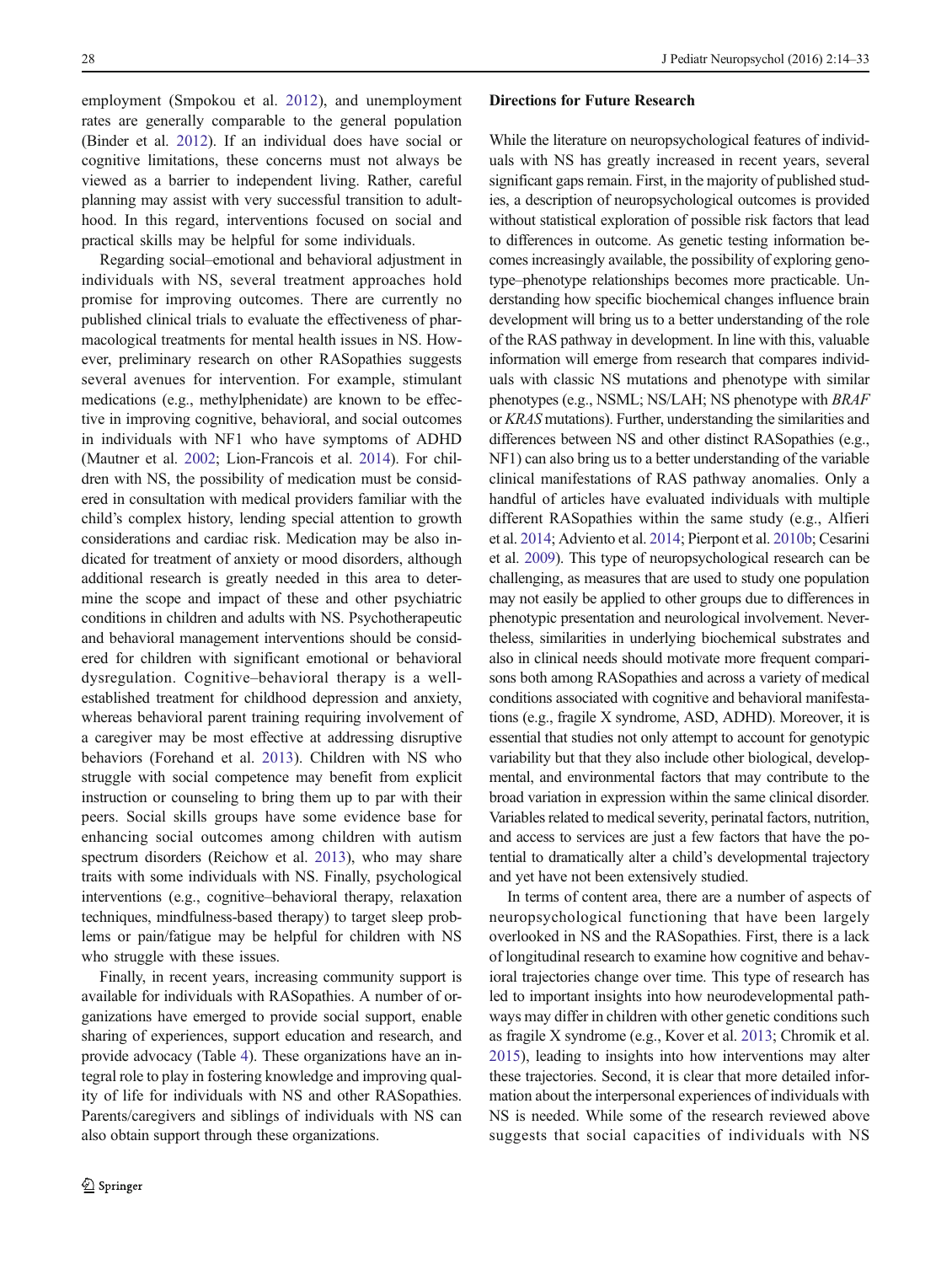employment (Smpokou et al. [2012](#page-18-0)), and unemployment rates are generally comparable to the general population (Binder et al. [2012](#page-16-0)). If an individual does have social or cognitive limitations, these concerns must not always be viewed as a barrier to independent living. Rather, careful planning may assist with very successful transition to adulthood. In this regard, interventions focused on social and practical skills may be helpful for some individuals.

Regarding social–emotional and behavioral adjustment in individuals with NS, several treatment approaches hold promise for improving outcomes. There are currently no published clinical trials to evaluate the effectiveness of pharmacological treatments for mental health issues in NS. However, preliminary research on other RASopathies suggests several avenues for intervention. For example, stimulant medications (e.g., methylphenidate) are known to be effective in improving cognitive, behavioral, and social outcomes in individuals with NF1 who have symptoms of ADHD (Mautner et al. [2002;](#page-17-0) Lion-Francois et al. [2014](#page-17-0)). For children with NS, the possibility of medication must be considered in consultation with medical providers familiar with the child's complex history, lending special attention to growth considerations and cardiac risk. Medication may be also indicated for treatment of anxiety or mood disorders, although additional research is greatly needed in this area to determine the scope and impact of these and other psychiatric conditions in children and adults with NS. Psychotherapeutic and behavioral management interventions should be considered for children with significant emotional or behavioral dysregulation. Cognitive–behavioral therapy is a wellestablished treatment for childhood depression and anxiety, whereas behavioral parent training requiring involvement of a caregiver may be most effective at addressing disruptive behaviors (Forehand et al. [2013\)](#page-16-0). Children with NS who struggle with social competence may benefit from explicit instruction or counseling to bring them up to par with their peers. Social skills groups have some evidence base for enhancing social outcomes among children with autism spectrum disorders (Reichow et al. [2013\)](#page-18-0), who may share traits with some individuals with NS. Finally, psychological interventions (e.g., cognitive–behavioral therapy, relaxation techniques, mindfulness-based therapy) to target sleep problems or pain/fatigue may be helpful for children with NS who struggle with these issues.

Finally, in recent years, increasing community support is available for individuals with RASopathies. A number of organizations have emerged to provide social support, enable sharing of experiences, support education and research, and provide advocacy (Table [4\)](#page-15-0). These organizations have an integral role to play in fostering knowledge and improving quality of life for individuals with NS and other RASopathies. Parents/caregivers and siblings of individuals with NS can also obtain support through these organizations.

#### Directions for Future Research

While the literature on neuropsychological features of individuals with NS has greatly increased in recent years, several significant gaps remain. First, in the majority of published studies, a description of neuropsychological outcomes is provided without statistical exploration of possible risk factors that lead to differences in outcome. As genetic testing information becomes increasingly available, the possibility of exploring genotype–phenotype relationships becomes more practicable. Understanding how specific biochemical changes influence brain development will bring us to a better understanding of the role of the RAS pathway in development. In line with this, valuable information will emerge from research that compares individuals with classic NS mutations and phenotype with similar phenotypes (e.g., NSML; NS/LAH; NS phenotype with BRAF or KRAS mutations). Further, understanding the similarities and differences between NS and other distinct RASopathies (e.g., NF1) can also bring us to a better understanding of the variable clinical manifestations of RAS pathway anomalies. Only a handful of articles have evaluated individuals with multiple different RASopathies within the same study (e.g., Alfieri et al. [2014](#page-16-0); Adviento et al. [2014;](#page-16-0) Pierpont et al. [2010b](#page-18-0); Cesarini et al. [2009\)](#page-16-0). This type of neuropsychological research can be challenging, as measures that are used to study one population may not easily be applied to other groups due to differences in phenotypic presentation and neurological involvement. Nevertheless, similarities in underlying biochemical substrates and also in clinical needs should motivate more frequent comparisons both among RASopathies and across a variety of medical conditions associated with cognitive and behavioral manifestations (e.g., fragile X syndrome, ASD, ADHD). Moreover, it is essential that studies not only attempt to account for genotypic variability but that they also include other biological, developmental, and environmental factors that may contribute to the broad variation in expression within the same clinical disorder. Variables related to medical severity, perinatal factors, nutrition, and access to services are just a few factors that have the potential to dramatically alter a child's developmental trajectory and yet have not been extensively studied.

In terms of content area, there are a number of aspects of neuropsychological functioning that have been largely overlooked in NS and the RASopathies. First, there is a lack of longitudinal research to examine how cognitive and behavioral trajectories change over time. This type of research has led to important insights into how neurodevelopmental pathways may differ in children with other genetic conditions such as fragile X syndrome (e.g., Kover et al. [2013](#page-17-0); Chromik et al. [2015\)](#page-16-0), leading to insights into how interventions may alter these trajectories. Second, it is clear that more detailed information about the interpersonal experiences of individuals with NS is needed. While some of the research reviewed above suggests that social capacities of individuals with NS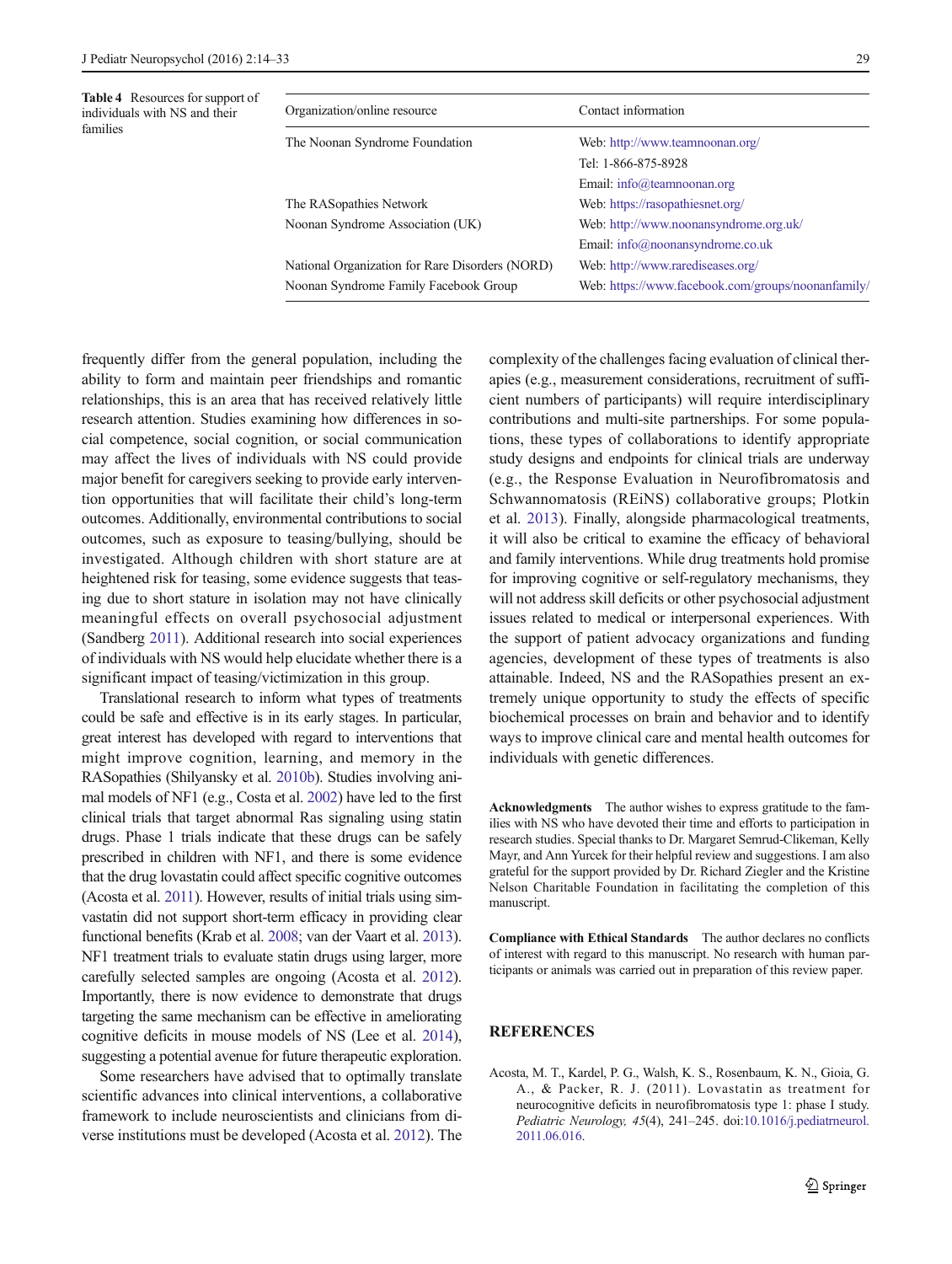<span id="page-15-0"></span>Table 4 Resources for support of individuals with NS and their families

| Organization/online resource                    | Contact information                                |
|-------------------------------------------------|----------------------------------------------------|
| The Noonan Syndrome Foundation                  | Web: http://www.teamnoonan.org/                    |
|                                                 | Tel: 1-866-875-8928                                |
|                                                 | Email: info@teamnoonan.org                         |
| The RASopathies Network                         | Web: https://rasopathiesnet.org/                   |
| Noonan Syndrome Association (UK)                | Web: http://www.noonansyndrome.org.uk/             |
|                                                 | Email: info@noonansyndrome.co.uk                   |
| National Organization for Rare Disorders (NORD) | Web: http://www.rarediseases.org/                  |
| Noonan Syndrome Family Facebook Group           | Web: https://www.facebook.com/groups/noonanfamily/ |

frequently differ from the general population, including the ability to form and maintain peer friendships and romantic relationships, this is an area that has received relatively little research attention. Studies examining how differences in social competence, social cognition, or social communication may affect the lives of individuals with NS could provide major benefit for caregivers seeking to provide early intervention opportunities that will facilitate their child's long-term outcomes. Additionally, environmental contributions to social outcomes, such as exposure to teasing/bullying, should be investigated. Although children with short stature are at heightened risk for teasing, some evidence suggests that teasing due to short stature in isolation may not have clinically meaningful effects on overall psychosocial adjustment (Sandberg [2011\)](#page-18-0). Additional research into social experiences of individuals with NS would help elucidate whether there is a significant impact of teasing/victimization in this group.

Translational research to inform what types of treatments could be safe and effective is in its early stages. In particular, great interest has developed with regard to interventions that might improve cognition, learning, and memory in the RASopathies (Shilyansky et al. [2010b\)](#page-18-0). Studies involving animal models of NF1 (e.g., Costa et al. [2002](#page-16-0)) have led to the first clinical trials that target abnormal Ras signaling using statin drugs. Phase 1 trials indicate that these drugs can be safely prescribed in children with NF1, and there is some evidence that the drug lovastatin could affect specific cognitive outcomes (Acosta et al. 2011). However, results of initial trials using simvastatin did not support short-term efficacy in providing clear functional benefits (Krab et al. [2008;](#page-17-0) van der Vaart et al. [2013\)](#page-19-0). NF1 treatment trials to evaluate statin drugs using larger, more carefully selected samples are ongoing (Acosta et al. [2012\)](#page-16-0). Importantly, there is now evidence to demonstrate that drugs targeting the same mechanism can be effective in ameliorating cognitive deficits in mouse models of NS (Lee et al. [2014\)](#page-17-0), suggesting a potential avenue for future therapeutic exploration.

Some researchers have advised that to optimally translate scientific advances into clinical interventions, a collaborative framework to include neuroscientists and clinicians from diverse institutions must be developed (Acosta et al. [2012](#page-16-0)). The complexity of the challenges facing evaluation of clinical therapies (e.g., measurement considerations, recruitment of sufficient numbers of participants) will require interdisciplinary contributions and multi-site partnerships. For some populations, these types of collaborations to identify appropriate study designs and endpoints for clinical trials are underway (e.g., the Response Evaluation in Neurofibromatosis and Schwannomatosis (REiNS) collaborative groups; Plotkin et al. [2013\)](#page-18-0). Finally, alongside pharmacological treatments, it will also be critical to examine the efficacy of behavioral and family interventions. While drug treatments hold promise for improving cognitive or self-regulatory mechanisms, they will not address skill deficits or other psychosocial adjustment issues related to medical or interpersonal experiences. With the support of patient advocacy organizations and funding agencies, development of these types of treatments is also attainable. Indeed, NS and the RASopathies present an extremely unique opportunity to study the effects of specific biochemical processes on brain and behavior and to identify ways to improve clinical care and mental health outcomes for individuals with genetic differences.

Acknowledgments The author wishes to express gratitude to the families with NS who have devoted their time and efforts to participation in research studies. Special thanks to Dr. Margaret Semrud-Clikeman, Kelly Mayr, and Ann Yurcek for their helpful review and suggestions. I am also grateful for the support provided by Dr. Richard Ziegler and the Kristine Nelson Charitable Foundation in facilitating the completion of this manuscript.

Compliance with Ethical Standards The author declares no conflicts of interest with regard to this manuscript. No research with human participants or animals was carried out in preparation of this review paper.

## **REFERENCES**

Acosta, M. T., Kardel, P. G., Walsh, K. S., Rosenbaum, K. N., Gioia, G. A., & Packer, R. J. (2011). Lovastatin as treatment for neurocognitive deficits in neurofibromatosis type 1: phase I study. Pediatric Neurology, 45(4), 241–245. doi[:10.1016/j.pediatrneurol.](http://dx.doi.org/10.1016/j.pediatrneurol.2011.06.016) [2011.06.016](http://dx.doi.org/10.1016/j.pediatrneurol.2011.06.016).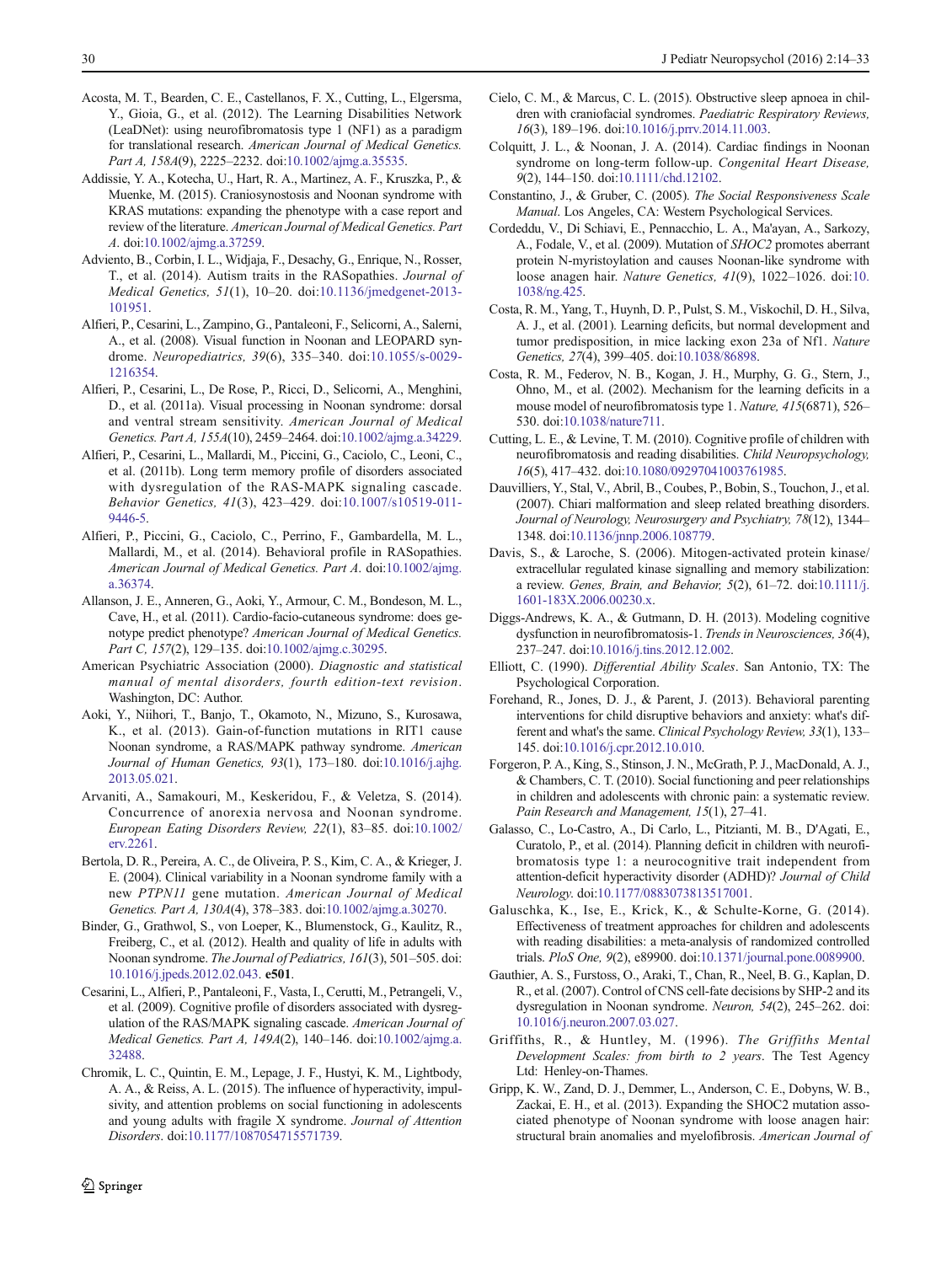- <span id="page-16-0"></span>Acosta, M. T., Bearden, C. E., Castellanos, F. X., Cutting, L., Elgersma, Y., Gioia, G., et al. (2012). The Learning Disabilities Network (LeaDNet): using neurofibromatosis type 1 (NF1) as a paradigm for translational research. American Journal of Medical Genetics. Part A, 158A(9), 2225–2232. doi[:10.1002/ajmg.a.35535](http://dx.doi.org/10.1002/ajmg.a.35535).
- Addissie, Y. A., Kotecha, U., Hart, R. A., Martinez, A. F., Kruszka, P., & Muenke, M. (2015). Craniosynostosis and Noonan syndrome with KRAS mutations: expanding the phenotype with a case report and review of the literature. American Journal of Medical Genetics. Part A. doi[:10.1002/ajmg.a.37259.](http://dx.doi.org/10.1002/ajmg.a.37259)
- Adviento, B., Corbin, I. L., Widjaja, F., Desachy, G., Enrique, N., Rosser, T., et al. (2014). Autism traits in the RASopathies. Journal of Medical Genetics, 51(1), 10–20. doi:[10.1136/jmedgenet-2013-](http://dx.doi.org/10.1136/jmedgenet-2013-101951) [101951.](http://dx.doi.org/10.1136/jmedgenet-2013-101951)
- Alfieri, P., Cesarini, L., Zampino, G., Pantaleoni, F., Selicorni, A., Salerni, A., et al. (2008). Visual function in Noonan and LEOPARD syndrome. Neuropediatrics, 39(6), 335–340. doi:[10.1055/s-0029-](http://dx.doi.org/10.1055/s-0029-1216354) [1216354.](http://dx.doi.org/10.1055/s-0029-1216354)
- Alfieri, P., Cesarini, L., De Rose, P., Ricci, D., Selicorni, A., Menghini, D., et al. (2011a). Visual processing in Noonan syndrome: dorsal and ventral stream sensitivity. American Journal of Medical Genetics. Part A, 155A(10), 2459–2464. doi[:10.1002/ajmg.a.34229](http://dx.doi.org/10.1002/ajmg.a.34229).
- Alfieri, P., Cesarini, L., Mallardi, M., Piccini, G., Caciolo, C., Leoni, C., et al. (2011b). Long term memory profile of disorders associated with dysregulation of the RAS-MAPK signaling cascade. Behavior Genetics, 41(3), 423–429. doi[:10.1007/s10519-011-](http://dx.doi.org/10.1007/s10519-011-9446-5) [9446-5](http://dx.doi.org/10.1007/s10519-011-9446-5).
- Alfieri, P., Piccini, G., Caciolo, C., Perrino, F., Gambardella, M. L., Mallardi, M., et al. (2014). Behavioral profile in RASopathies. American Journal of Medical Genetics. Part A. doi:[10.1002/ajmg.](http://dx.doi.org/10.1002/ajmg.a.36374) [a.36374](http://dx.doi.org/10.1002/ajmg.a.36374).
- Allanson, J. E., Anneren, G., Aoki, Y., Armour, C. M., Bondeson, M. L., Cave, H., et al. (2011). Cardio-facio-cutaneous syndrome: does genotype predict phenotype? American Journal of Medical Genetics. Part C, 157(2), 129–135. doi:[10.1002/ajmg.c.30295](http://dx.doi.org/10.1002/ajmg.c.30295).
- American Psychiatric Association (2000). Diagnostic and statistical manual of mental disorders, fourth edition-text revision. Washington, DC: Author.
- Aoki, Y., Niihori, T., Banjo, T., Okamoto, N., Mizuno, S., Kurosawa, K., et al. (2013). Gain-of-function mutations in RIT1 cause Noonan syndrome, a RAS/MAPK pathway syndrome. American Journal of Human Genetics, 93(1), 173–180. doi:[10.1016/j.ajhg.](http://dx.doi.org/10.1016/j.ajhg.2013.05.021) [2013.05.021](http://dx.doi.org/10.1016/j.ajhg.2013.05.021).
- Arvaniti, A., Samakouri, M., Keskeridou, F., & Veletza, S. (2014). Concurrence of anorexia nervosa and Noonan syndrome. European Eating Disorders Review, 22(1), 83–85. doi[:10.1002/](http://dx.doi.org/10.1002/erv.2261) [erv.2261](http://dx.doi.org/10.1002/erv.2261).
- Bertola, D. R., Pereira, A. C., de Oliveira, P. S., Kim, C. A., & Krieger, J. E. (2004). Clinical variability in a Noonan syndrome family with a new PTPN11 gene mutation. American Journal of Medical Genetics. Part A, 130A(4), 378–383. doi:[10.1002/ajmg.a.30270.](http://dx.doi.org/10.1002/ajmg.a.30270)
- Binder, G., Grathwol, S., von Loeper, K., Blumenstock, G., Kaulitz, R., Freiberg, C., et al. (2012). Health and quality of life in adults with Noonan syndrome. The Journal of Pediatrics, 161(3), 501–505. doi: [10.1016/j.jpeds.2012.02.043.](http://dx.doi.org/10.1016/j.jpeds.2012.02.043) e501.
- Cesarini, L., Alfieri, P., Pantaleoni, F., Vasta, I., Cerutti, M., Petrangeli, V., et al. (2009). Cognitive profile of disorders associated with dysregulation of the RAS/MAPK signaling cascade. American Journal of Medical Genetics. Part A, 149A(2), 140–146. doi[:10.1002/ajmg.a.](http://dx.doi.org/10.1002/ajmg.a.32488) [32488.](http://dx.doi.org/10.1002/ajmg.a.32488)
- Chromik, L. C., Quintin, E. M., Lepage, J. F., Hustyi, K. M., Lightbody, A. A., & Reiss, A. L. (2015). The influence of hyperactivity, impulsivity, and attention problems on social functioning in adolescents and young adults with fragile X syndrome. Journal of Attention Disorders. doi[:10.1177/1087054715571739](http://dx.doi.org/10.1177/1087054715571739).
- Cielo, C. M., & Marcus, C. L. (2015). Obstructive sleep apnoea in children with craniofacial syndromes. Paediatric Respiratory Reviews, 16(3), 189–196. doi[:10.1016/j.prrv.2014.11.003](http://dx.doi.org/10.1016/j.prrv.2014.11.003).
- Colquitt, J. L., & Noonan, J. A. (2014). Cardiac findings in Noonan syndrome on long-term follow-up. Congenital Heart Disease, 9(2), 144–150. doi[:10.1111/chd.12102.](http://dx.doi.org/10.1111/chd.12102)
- Constantino, J., & Gruber, C. (2005). The Social Responsiveness Scale Manual. Los Angeles, CA: Western Psychological Services.
- Cordeddu, V., Di Schiavi, E., Pennacchio, L. A., Ma'ayan, A., Sarkozy, A., Fodale, V., et al. (2009). Mutation of SHOC2 promotes aberrant protein N-myristoylation and causes Noonan-like syndrome with loose anagen hair. Nature Genetics, 41(9), 1022–1026. doi:[10.](http://dx.doi.org/10.1038/ng.425) [1038/ng.425.](http://dx.doi.org/10.1038/ng.425)
- Costa, R. M., Yang, T., Huynh, D. P., Pulst, S. M., Viskochil, D. H., Silva, A. J., et al. (2001). Learning deficits, but normal development and tumor predisposition, in mice lacking exon 23a of Nf1. Nature Genetics, 27(4), 399–405. doi:[10.1038/86898](http://dx.doi.org/10.1038/86898).
- Costa, R. M., Federov, N. B., Kogan, J. H., Murphy, G. G., Stern, J., Ohno, M., et al. (2002). Mechanism for the learning deficits in a mouse model of neurofibromatosis type 1. Nature, 415(6871), 526– 530. doi[:10.1038/nature711.](http://dx.doi.org/10.1038/nature711)
- Cutting, L. E., & Levine, T. M. (2010). Cognitive profile of children with neurofibromatosis and reading disabilities. Child Neuropsychology, 16(5), 417–432. doi[:10.1080/09297041003761985](http://dx.doi.org/10.1080/09297041003761985).
- Dauvilliers, Y., Stal, V., Abril, B., Coubes, P., Bobin, S., Touchon, J., et al. (2007). Chiari malformation and sleep related breathing disorders. Journal of Neurology, Neurosurgery and Psychiatry, 78(12), 1344– 1348. doi:[10.1136/jnnp.2006.108779](http://dx.doi.org/10.1136/jnnp.2006.108779).
- Davis, S., & Laroche, S. (2006). Mitogen-activated protein kinase/ extracellular regulated kinase signalling and memory stabilization: a review. Genes, Brain, and Behavior, 5(2), 61–72. doi:[10.1111/j.](http://dx.doi.org/10.1111/j.1601-183X.2006.00230.x) [1601-183X.2006.00230.x](http://dx.doi.org/10.1111/j.1601-183X.2006.00230.x).
- Diggs-Andrews, K. A., & Gutmann, D. H. (2013). Modeling cognitive dysfunction in neurofibromatosis-1. Trends in Neurosciences, 36(4), 237–247. doi[:10.1016/j.tins.2012.12.002](http://dx.doi.org/10.1016/j.tins.2012.12.002).
- Elliott, C. (1990). Differential Ability Scales. San Antonio, TX: The Psychological Corporation.
- Forehand, R., Jones, D. J., & Parent, J. (2013). Behavioral parenting interventions for child disruptive behaviors and anxiety: what's different and what's the same. Clinical Psychology Review, 33(1), 133– 145. doi[:10.1016/j.cpr.2012.10.010.](http://dx.doi.org/10.1016/j.cpr.2012.10.010)
- Forgeron, P. A., King, S., Stinson, J. N., McGrath, P. J., MacDonald, A. J., & Chambers, C. T. (2010). Social functioning and peer relationships in children and adolescents with chronic pain: a systematic review. Pain Research and Management, 15(1), 27–41.
- Galasso, C., Lo-Castro, A., Di Carlo, L., Pitzianti, M. B., D'Agati, E., Curatolo, P., et al. (2014). Planning deficit in children with neurofibromatosis type 1: a neurocognitive trait independent from attention-deficit hyperactivity disorder (ADHD)? Journal of Child Neurology. doi[:10.1177/0883073813517001.](http://dx.doi.org/10.1177/0883073813517001)
- Galuschka, K., Ise, E., Krick, K., & Schulte-Korne, G. (2014). Effectiveness of treatment approaches for children and adolescents with reading disabilities: a meta-analysis of randomized controlled trials. PloS One, 9(2), e89900. doi[:10.1371/journal.pone.0089900](http://dx.doi.org/10.1371/journal.pone.0089900).
- Gauthier, A. S., Furstoss, O., Araki, T., Chan, R., Neel, B. G., Kaplan, D. R., et al. (2007). Control of CNS cell-fate decisions by SHP-2 and its dysregulation in Noonan syndrome. Neuron, 54(2), 245–262. doi: [10.1016/j.neuron.2007.03.027](http://dx.doi.org/10.1016/j.neuron.2007.03.027).
- Griffiths, R., & Huntley, M. (1996). The Griffiths Mental Development Scales: from birth to 2 years. The Test Agency Ltd: Henley-on-Thames.
- Gripp, K. W., Zand, D. J., Demmer, L., Anderson, C. E., Dobyns, W. B., Zackai, E. H., et al. (2013). Expanding the SHOC2 mutation associated phenotype of Noonan syndrome with loose anagen hair: structural brain anomalies and myelofibrosis. American Journal of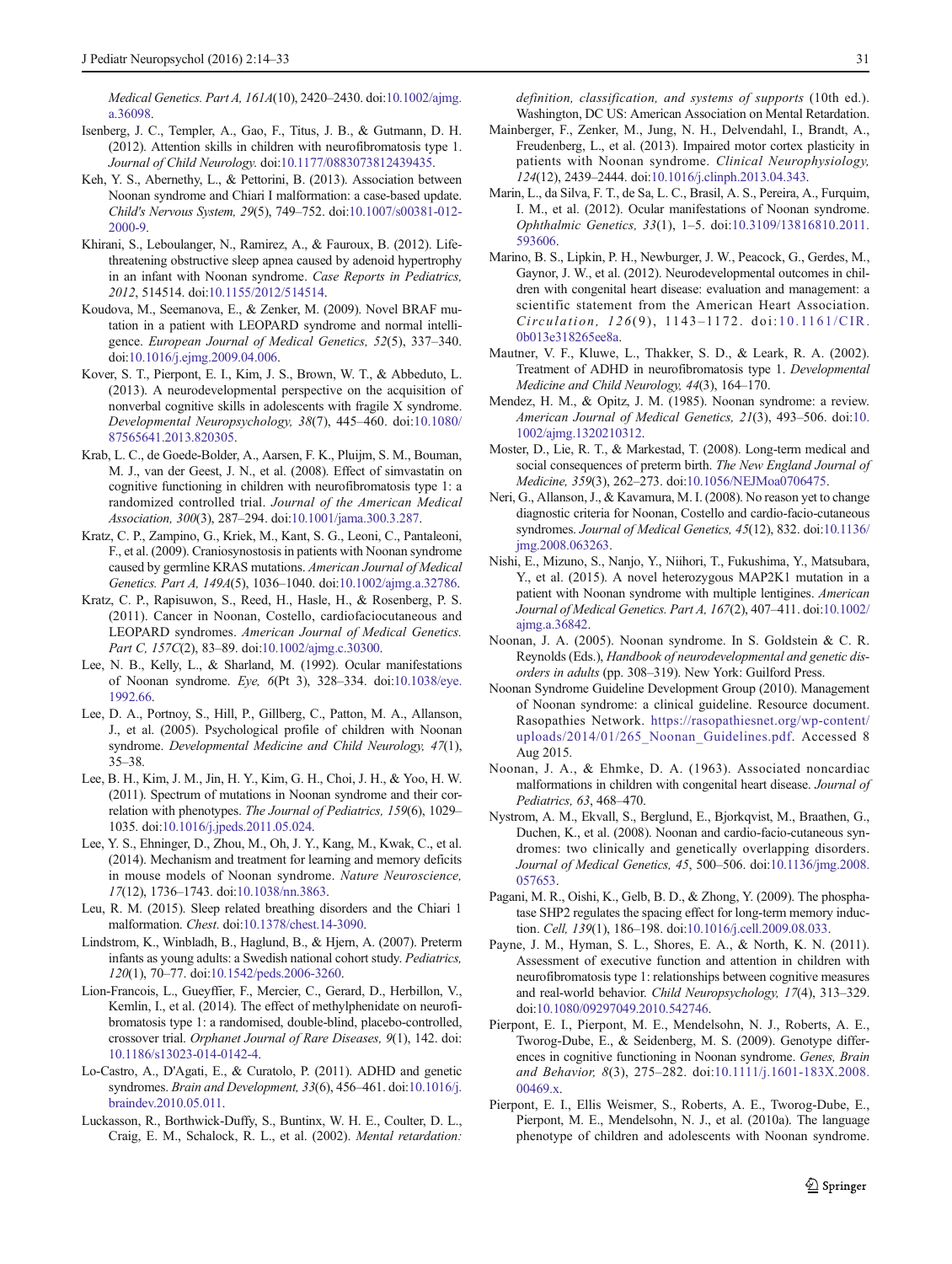<span id="page-17-0"></span>Medical Genetics. Part A, 161A(10), 2420–2430. doi:[10.1002/ajmg.](http://dx.doi.org/10.1002/ajmg.a.36098) [a.36098](http://dx.doi.org/10.1002/ajmg.a.36098).

- Isenberg, J. C., Templer, A., Gao, F., Titus, J. B., & Gutmann, D. H. (2012). Attention skills in children with neurofibromatosis type 1. Journal of Child Neurology. doi:[10.1177/0883073812439435.](http://dx.doi.org/10.1177/0883073812439435)
- Keh, Y. S., Abernethy, L., & Pettorini, B. (2013). Association between Noonan syndrome and Chiari I malformation: a case-based update. Child's Nervous System, 29(5), 749–752. doi[:10.1007/s00381-012-](http://dx.doi.org/10.1007/s00381-012-2000-9) [2000-9](http://dx.doi.org/10.1007/s00381-012-2000-9).
- Khirani, S., Leboulanger, N., Ramirez, A., & Fauroux, B. (2012). Lifethreatening obstructive sleep apnea caused by adenoid hypertrophy in an infant with Noonan syndrome. Case Reports in Pediatrics, 2012, 514514. doi:[10.1155/2012/514514.](http://dx.doi.org/10.1155/2012/514514)
- Koudova, M., Seemanova, E., & Zenker, M. (2009). Novel BRAF mutation in a patient with LEOPARD syndrome and normal intelligence. European Journal of Medical Genetics, 52(5), 337–340. doi:[10.1016/j.ejmg.2009.04.006](http://dx.doi.org/10.1016/j.ejmg.2009.04.006).
- Kover, S. T., Pierpont, E. I., Kim, J. S., Brown, W. T., & Abbeduto, L. (2013). A neurodevelopmental perspective on the acquisition of nonverbal cognitive skills in adolescents with fragile X syndrome. Developmental Neuropsychology, 38(7), 445–460. doi:[10.1080/](http://dx.doi.org/10.1080/87565641.2013.820305) [87565641.2013.820305](http://dx.doi.org/10.1080/87565641.2013.820305).
- Krab, L. C., de Goede-Bolder, A., Aarsen, F. K., Pluijm, S. M., Bouman, M. J., van der Geest, J. N., et al. (2008). Effect of simvastatin on cognitive functioning in children with neurofibromatosis type 1: a randomized controlled trial. Journal of the American Medical Association, 300(3), 287–294. doi[:10.1001/jama.300.3.287](http://dx.doi.org/10.1001/jama.300.3.287).
- Kratz, C. P., Zampino, G., Kriek, M., Kant, S. G., Leoni, C., Pantaleoni, F., et al. (2009). Craniosynostosis in patients with Noonan syndrome caused by germline KRAS mutations. American Journal of Medical Genetics. Part A, 149A(5), 1036–1040. doi[:10.1002/ajmg.a.32786.](http://dx.doi.org/10.1002/ajmg.a.32786)
- Kratz, C. P., Rapisuwon, S., Reed, H., Hasle, H., & Rosenberg, P. S. (2011). Cancer in Noonan, Costello, cardiofaciocutaneous and LEOPARD syndromes. American Journal of Medical Genetics. Part C, 157C(2), 83–89. doi[:10.1002/ajmg.c.30300.](http://dx.doi.org/10.1002/ajmg.c.30300)
- Lee, N. B., Kelly, L., & Sharland, M. (1992). Ocular manifestations of Noonan syndrome. Eye, 6(Pt 3), 328–334. doi:[10.1038/eye.](http://dx.doi.org/10.1038/eye.1992.66) [1992.66.](http://dx.doi.org/10.1038/eye.1992.66)
- Lee, D. A., Portnoy, S., Hill, P., Gillberg, C., Patton, M. A., Allanson, J., et al. (2005). Psychological profile of children with Noonan syndrome. Developmental Medicine and Child Neurology, 47(1), 35–38.
- Lee, B. H., Kim, J. M., Jin, H. Y., Kim, G. H., Choi, J. H., & Yoo, H. W. (2011). Spectrum of mutations in Noonan syndrome and their correlation with phenotypes. The Journal of Pediatrics, 159(6), 1029– 1035. doi[:10.1016/j.jpeds.2011.05.024](http://dx.doi.org/10.1016/j.jpeds.2011.05.024).
- Lee, Y. S., Ehninger, D., Zhou, M., Oh, J. Y., Kang, M., Kwak, C., et al. (2014). Mechanism and treatment for learning and memory deficits in mouse models of Noonan syndrome. Nature Neuroscience, 17(12), 1736–1743. doi[:10.1038/nn.3863](http://dx.doi.org/10.1038/nn.3863).
- Leu, R. M. (2015). Sleep related breathing disorders and the Chiari 1 malformation. Chest. doi[:10.1378/chest.14-3090](http://dx.doi.org/10.1378/chest.14-3090).
- Lindstrom, K., Winbladh, B., Haglund, B., & Hjern, A. (2007). Preterm infants as young adults: a Swedish national cohort study. Pediatrics, 120(1), 70–77. doi:[10.1542/peds.2006-3260.](http://dx.doi.org/10.1542/peds.2006-3260)
- Lion-Francois, L., Gueyffier, F., Mercier, C., Gerard, D., Herbillon, V., Kemlin, I., et al. (2014). The effect of methylphenidate on neurofibromatosis type 1: a randomised, double-blind, placebo-controlled, crossover trial. Orphanet Journal of Rare Diseases, 9(1), 142. doi: [10.1186/s13023-014-0142-4.](http://dx.doi.org/10.1186/s13023-014-0142-4)
- Lo-Castro, A., D'Agati, E., & Curatolo, P. (2011). ADHD and genetic syndromes. Brain and Development, 33(6), 456–461. doi:[10.1016/j.](http://dx.doi.org/10.1016/j.braindev.2010.05.011) [braindev.2010.05.011](http://dx.doi.org/10.1016/j.braindev.2010.05.011).
- Luckasson, R., Borthwick-Duffy, S., Buntinx, W. H. E., Coulter, D. L., Craig, E. M., Schalock, R. L., et al. (2002). Mental retardation:

definition, classification, and systems of supports (10th ed.). Washington, DC US: American Association on Mental Retardation.

- Mainberger, F., Zenker, M., Jung, N. H., Delvendahl, I., Brandt, A., Freudenberg, L., et al. (2013). Impaired motor cortex plasticity in patients with Noonan syndrome. Clinical Neurophysiology, 124(12), 2439–2444. doi:[10.1016/j.clinph.2013.04.343](http://dx.doi.org/10.1016/j.clinph.2013.04.343).
- Marin, L., da Silva, F. T., de Sa, L. C., Brasil, A. S., Pereira, A., Furquim, I. M., et al. (2012). Ocular manifestations of Noonan syndrome. Ophthalmic Genetics, 33(1), 1–5. doi[:10.3109/13816810.2011.](http://dx.doi.org/10.3109/13816810.2011.593606) [593606.](http://dx.doi.org/10.3109/13816810.2011.593606)
- Marino, B. S., Lipkin, P. H., Newburger, J. W., Peacock, G., Gerdes, M., Gaynor, J. W., et al. (2012). Neurodevelopmental outcomes in children with congenital heart disease: evaluation and management: a scientific statement from the American Heart Association. Circulation, 126(9), 1143–1172. doi:[10.1161/CIR.](http://dx.doi.org/10.1161/CIR.0b013e318265ee8a) [0b013e318265ee8a](http://dx.doi.org/10.1161/CIR.0b013e318265ee8a).
- Mautner, V. F., Kluwe, L., Thakker, S. D., & Leark, R. A. (2002). Treatment of ADHD in neurofibromatosis type 1. Developmental Medicine and Child Neurology, 44(3), 164–170.
- Mendez, H. M., & Opitz, J. M. (1985). Noonan syndrome: a review. American Journal of Medical Genetics, 21(3), 493–506. doi:[10.](http://dx.doi.org/10.1002/ajmg.1320210312) [1002/ajmg.1320210312.](http://dx.doi.org/10.1002/ajmg.1320210312)
- Moster, D., Lie, R. T., & Markestad, T. (2008). Long-term medical and social consequences of preterm birth. The New England Journal of Medicine, 359(3), 262–273. doi:[10.1056/NEJMoa0706475](http://dx.doi.org/10.1056/NEJMoa0706475).
- Neri, G., Allanson, J., & Kavamura, M. I. (2008). No reason yet to change diagnostic criteria for Noonan, Costello and cardio-facio-cutaneous syndromes. Journal of Medical Genetics, 45(12), 832. doi[:10.1136/](http://dx.doi.org/10.1136/jmg.2008.063263) img.2008.063263.
- Nishi, E., Mizuno, S., Nanjo, Y., Niihori, T., Fukushima, Y., Matsubara, Y., et al. (2015). A novel heterozygous MAP2K1 mutation in a patient with Noonan syndrome with multiple lentigines. American Journal of Medical Genetics. Part A, 167(2), 407–411. doi[:10.1002/](http://dx.doi.org/10.1002/ajmg.a.36842) [ajmg.a.36842.](http://dx.doi.org/10.1002/ajmg.a.36842)
- Noonan, J. A. (2005). Noonan syndrome. In S. Goldstein & C. R. Reynolds (Eds.), Handbook of neurodevelopmental and genetic disorders in adults (pp. 308–319). New York: Guilford Press.
- Noonan Syndrome Guideline Development Group (2010). Management of Noonan syndrome: a clinical guideline. Resource document. Rasopathies Network. [https://rasopathiesnet.org/wp-content/](https://rasopathiesnet.org/wp-content/uploads/2014/01/265_Noonan_Guidelines.pdf) [uploads/2014/01/265\\_Noonan\\_Guidelines.pdf](https://rasopathiesnet.org/wp-content/uploads/2014/01/265_Noonan_Guidelines.pdf). Accessed 8 Aug 2015.
- Noonan, J. A., & Ehmke, D. A. (1963). Associated noncardiac malformations in children with congenital heart disease. Journal of Pediatrics, 63, 468–470.
- Nystrom, A. M., Ekvall, S., Berglund, E., Bjorkqvist, M., Braathen, G., Duchen, K., et al. (2008). Noonan and cardio-facio-cutaneous syndromes: two clinically and genetically overlapping disorders. Journal of Medical Genetics, 45, 500–506. doi[:10.1136/jmg.2008.](http://dx.doi.org/10.1136/jmg.2008.057653) [057653.](http://dx.doi.org/10.1136/jmg.2008.057653)
- Pagani, M. R., Oishi, K., Gelb, B. D., & Zhong, Y. (2009). The phosphatase SHP2 regulates the spacing effect for long-term memory induction. Cell, 139(1), 186–198. doi[:10.1016/j.cell.2009.08.033](http://dx.doi.org/10.1016/j.cell.2009.08.033).
- Payne, J. M., Hyman, S. L., Shores, E. A., & North, K. N. (2011). Assessment of executive function and attention in children with neurofibromatosis type 1: relationships between cognitive measures and real-world behavior. Child Neuropsychology, 17(4), 313–329. doi:[10.1080/09297049.2010.542746](http://dx.doi.org/10.1080/09297049.2010.542746).
- Pierpont, E. I., Pierpont, M. E., Mendelsohn, N. J., Roberts, A. E., Tworog-Dube, E., & Seidenberg, M. S. (2009). Genotype differences in cognitive functioning in Noonan syndrome. Genes, Brain and Behavior, 8(3), 275–282. doi[:10.1111/j.1601-183X.2008.](http://dx.doi.org/10.1111/j.1601-183X.2008.00469.x) [00469.x.](http://dx.doi.org/10.1111/j.1601-183X.2008.00469.x)
- Pierpont, E. I., Ellis Weismer, S., Roberts, A. E., Tworog-Dube, E., Pierpont, M. E., Mendelsohn, N. J., et al. (2010a). The language phenotype of children and adolescents with Noonan syndrome.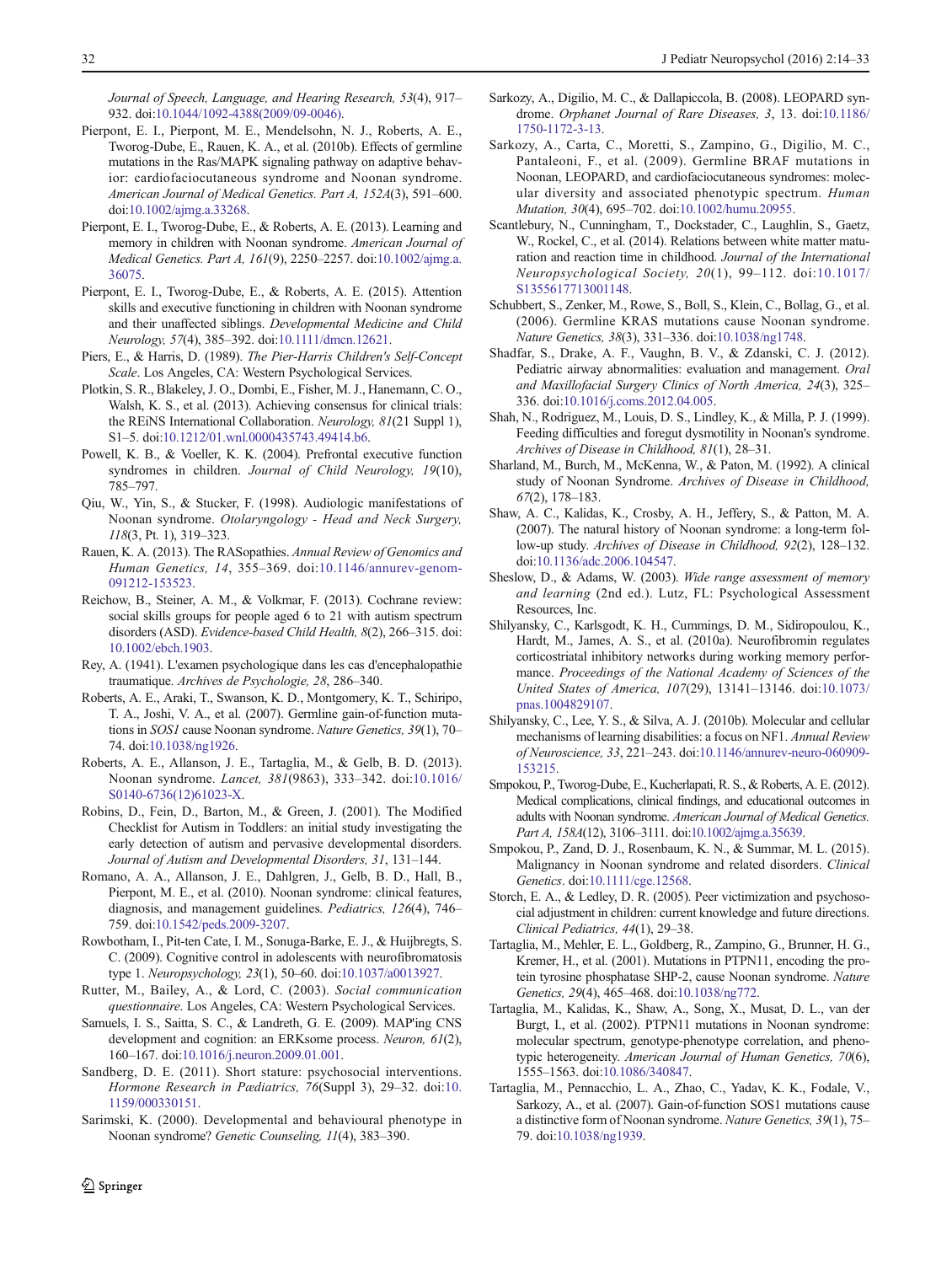<span id="page-18-0"></span>Journal of Speech, Language, and Hearing Research, 53(4), 917– 932. doi[:10.1044/1092-4388\(2009/09-0046\).](http://dx.doi.org/10.1044/1092-4388(2009/�09-0046))

- Pierpont, E. I., Pierpont, M. E., Mendelsohn, N. J., Roberts, A. E., Tworog-Dube, E., Rauen, K. A., et al. (2010b). Effects of germline mutations in the Ras/MAPK signaling pathway on adaptive behavior: cardiofaciocutaneous syndrome and Noonan syndrome. American Journal of Medical Genetics. Part A, 152A(3), 591–600. doi:[10.1002/ajmg.a.33268](http://dx.doi.org/10.1002/ajmg.a.33268).
- Pierpont, E. I., Tworog-Dube, E., & Roberts, A. E. (2013). Learning and memory in children with Noonan syndrome. American Journal of Medical Genetics. Part A, 161(9), 2250–2257. doi[:10.1002/ajmg.a.](http://dx.doi.org/10.1002/ajmg.a.36075) [36075.](http://dx.doi.org/10.1002/ajmg.a.36075)
- Pierpont, E. I., Tworog-Dube, E., & Roberts, A. E. (2015). Attention skills and executive functioning in children with Noonan syndrome and their unaffected siblings. Developmental Medicine and Child Neurology, 57(4), 385–392. doi[:10.1111/dmcn.12621](http://dx.doi.org/10.1111/dmcn.12621).
- Piers, E., & Harris, D. (1989). The Pier-Harris Children's Self-Concept Scale. Los Angeles, CA: Western Psychological Services.
- Plotkin, S. R., Blakeley, J. O., Dombi, E., Fisher, M. J., Hanemann, C. O., Walsh, K. S., et al. (2013). Achieving consensus for clinical trials: the REiNS International Collaboration. Neurology, 81(21 Suppl 1), S1–5. doi[:10.1212/01.wnl.0000435743.49414.b6.](http://dx.doi.org/10.1212/01.wnl.0000435743.49414.b6)
- Powell, K. B., & Voeller, K. K. (2004). Prefrontal executive function syndromes in children. Journal of Child Neurology, 19(10), 785–797.
- Qiu, W., Yin, S., & Stucker, F. (1998). Audiologic manifestations of Noonan syndrome. Otolaryngology - Head and Neck Surgery, 118(3, Pt. 1), 319–323.
- Rauen, K. A. (2013). The RASopathies. Annual Review of Genomics and Human Genetics, 14, 355–369. doi:[10.1146/annurev-genom-](http://dx.doi.org/10.1146/annurev-genom-091212-153523)[091212-153523](http://dx.doi.org/10.1146/annurev-genom-091212-153523).
- Reichow, B., Steiner, A. M., & Volkmar, F. (2013). Cochrane review: social skills groups for people aged 6 to 21 with autism spectrum disorders (ASD). Evidence-based Child Health, 8(2), 266–315. doi: [10.1002/ebch.1903](http://dx.doi.org/10.1002/ebch.1903).
- Rey, A. (1941). L'examen psychologique dans les cas d'encephalopathie traumatique. Archives de Psychologie, 28, 286–340.
- Roberts, A. E., Araki, T., Swanson, K. D., Montgomery, K. T., Schiripo, T. A., Joshi, V. A., et al. (2007). Germline gain-of-function mutations in SOS1 cause Noonan syndrome. Nature Genetics, 39(1), 70-74. doi[:10.1038/ng1926](http://dx.doi.org/10.1038/ng1926).
- Roberts, A. E., Allanson, J. E., Tartaglia, M., & Gelb, B. D. (2013). Noonan syndrome. Lancet, 381(9863), 333–342. doi:[10.1016/](http://dx.doi.org/10.1016/S0140-6736(12)61023-X) [S0140-6736\(12\)61023-X](http://dx.doi.org/10.1016/S0140-6736(12)61023-X).
- Robins, D., Fein, D., Barton, M., & Green, J. (2001). The Modified Checklist for Autism in Toddlers: an initial study investigating the early detection of autism and pervasive developmental disorders. Journal of Autism and Developmental Disorders, 31, 131–144.
- Romano, A. A., Allanson, J. E., Dahlgren, J., Gelb, B. D., Hall, B., Pierpont, M. E., et al. (2010). Noonan syndrome: clinical features, diagnosis, and management guidelines. Pediatrics, 126(4), 746– 759. doi[:10.1542/peds.2009-3207](http://dx.doi.org/10.1542/peds.2009-3207).
- Rowbotham, I., Pit-ten Cate, I. M., Sonuga-Barke, E. J., & Huijbregts, S. C. (2009). Cognitive control in adolescents with neurofibromatosis type 1. Neuropsychology, 23(1), 50–60. doi[:10.1037/a0013927](http://dx.doi.org/10.1037/a0013927).
- Rutter, M., Bailey, A., & Lord, C. (2003). Social communication questionnaire. Los Angeles, CA: Western Psychological Services.
- Samuels, I. S., Saitta, S. C., & Landreth, G. E. (2009). MAP'ing CNS development and cognition: an ERKsome process. Neuron, 61(2), 160–167. doi[:10.1016/j.neuron.2009.01.001](http://dx.doi.org/10.1016/j.neuron.2009.01.001).
- Sandberg, D. E. (2011). Short stature: psychosocial interventions. Hormone Research in Pædiatrics, 76(Suppl 3), 29–32. doi[:10.](http://dx.doi.org/10.1159/000330151) [1159/000330151.](http://dx.doi.org/10.1159/000330151)
- Sarimski, K. (2000). Developmental and behavioural phenotype in Noonan syndrome? Genetic Counseling, 11(4), 383–390.
- Sarkozy, A., Digilio, M. C., & Dallapiccola, B. (2008). LEOPARD syn-drome. Orphanet Journal of Rare Diseases, 3, 13. doi:[10.1186/](http://dx.doi.org/10.1186/1750-1172-3-13) [1750-1172-3-13](http://dx.doi.org/10.1186/1750-1172-3-13).
- Sarkozy, A., Carta, C., Moretti, S., Zampino, G., Digilio, M. C., Pantaleoni, F., et al. (2009). Germline BRAF mutations in Noonan, LEOPARD, and cardiofaciocutaneous syndromes: molecular diversity and associated phenotypic spectrum. Human Mutation, 30(4), 695–702. doi[:10.1002/humu.20955.](http://dx.doi.org/10.1002/humu.20955)
- Scantlebury, N., Cunningham, T., Dockstader, C., Laughlin, S., Gaetz, W., Rockel, C., et al. (2014). Relations between white matter maturation and reaction time in childhood. Journal of the International Neuropsychological Society, 20(1), 99–112. doi:[10.1017/](http://dx.doi.org/10.1017/S1355617713001148) [S1355617713001148.](http://dx.doi.org/10.1017/S1355617713001148)
- Schubbert, S., Zenker, M., Rowe, S., Boll, S., Klein, C., Bollag, G., et al. (2006). Germline KRAS mutations cause Noonan syndrome. Nature Genetics, 38(3), 331–336. doi:[10.1038/ng1748](http://dx.doi.org/10.1038/ng1748).
- Shadfar, S., Drake, A. F., Vaughn, B. V., & Zdanski, C. J. (2012). Pediatric airway abnormalities: evaluation and management. Oral and Maxillofacial Surgery Clinics of North America, 24(3), 325– 336. doi[:10.1016/j.coms.2012.04.005](http://dx.doi.org/10.1016/j.coms.2012.04.005).
- Shah, N., Rodriguez, M., Louis, D. S., Lindley, K., & Milla, P. J. (1999). Feeding difficulties and foregut dysmotility in Noonan's syndrome. Archives of Disease in Childhood, 81(1), 28–31.
- Sharland, M., Burch, M., McKenna, W., & Paton, M. (1992). A clinical study of Noonan Syndrome. Archives of Disease in Childhood, 67(2), 178–183.
- Shaw, A. C., Kalidas, K., Crosby, A. H., Jeffery, S., & Patton, M. A. (2007). The natural history of Noonan syndrome: a long-term follow-up study. Archives of Disease in Childhood, 92(2), 128–132. doi:[10.1136/adc.2006.104547](http://dx.doi.org/10.1136/adc.2006.104547).
- Sheslow, D., & Adams, W. (2003). Wide range assessment of memory and learning (2nd ed.). Lutz, FL: Psychological Assessment Resources, Inc.
- Shilyansky, C., Karlsgodt, K. H., Cummings, D. M., Sidiropoulou, K., Hardt, M., James, A. S., et al. (2010a). Neurofibromin regulates corticostriatal inhibitory networks during working memory performance. Proceedings of the National Academy of Sciences of the United States of America, 107(29), 13141–13146. doi[:10.1073/](http://dx.doi.org/10.1073/pnas.1004829107) [pnas.1004829107](http://dx.doi.org/10.1073/pnas.1004829107).
- Shilyansky, C., Lee, Y. S., & Silva, A. J. (2010b). Molecular and cellular mechanisms of learning disabilities: a focus on NF1. Annual Review of Neuroscience, 33, 221–243. doi:[10.1146/annurev-neuro-060909-](http://dx.doi.org/10.1146/annurev-neuro-060909-153215) [153215.](http://dx.doi.org/10.1146/annurev-neuro-060909-153215)
- Smpokou, P., Tworog-Dube, E., Kucherlapati, R. S., & Roberts, A. E. (2012). Medical complications, clinical findings, and educational outcomes in adults with Noonan syndrome. American Journal of Medical Genetics. Part A, 158A(12), 3106–3111. doi[:10.1002/ajmg.a.35639](http://dx.doi.org/10.1002/ajmg.a.35639).
- Smpokou, P., Zand, D. J., Rosenbaum, K. N., & Summar, M. L. (2015). Malignancy in Noonan syndrome and related disorders. Clinical Genetics. doi:[10.1111/cge.12568.](http://dx.doi.org/10.1111/cge.12568)
- Storch, E. A., & Ledley, D. R. (2005). Peer victimization and psychosocial adjustment in children: current knowledge and future directions. Clinical Pediatrics, 44(1), 29–38.
- Tartaglia, M., Mehler, E. L., Goldberg, R., Zampino, G., Brunner, H. G., Kremer, H., et al. (2001). Mutations in PTPN11, encoding the protein tyrosine phosphatase SHP-2, cause Noonan syndrome. Nature Genetics, 29(4), 465–468. doi:[10.1038/ng772](http://dx.doi.org/10.1038/ng772).
- Tartaglia, M., Kalidas, K., Shaw, A., Song, X., Musat, D. L., van der Burgt, I., et al. (2002). PTPN11 mutations in Noonan syndrome: molecular spectrum, genotype-phenotype correlation, and phenotypic heterogeneity. American Journal of Human Genetics, 70(6), 1555–1563. doi[:10.1086/340847](http://dx.doi.org/10.1086/340847).
- Tartaglia, M., Pennacchio, L. A., Zhao, C., Yadav, K. K., Fodale, V., Sarkozy, A., et al. (2007). Gain-of-function SOS1 mutations cause a distinctive form of Noonan syndrome. Nature Genetics, 39(1), 75– 79. doi[:10.1038/ng1939](http://dx.doi.org/10.1038/ng1939).